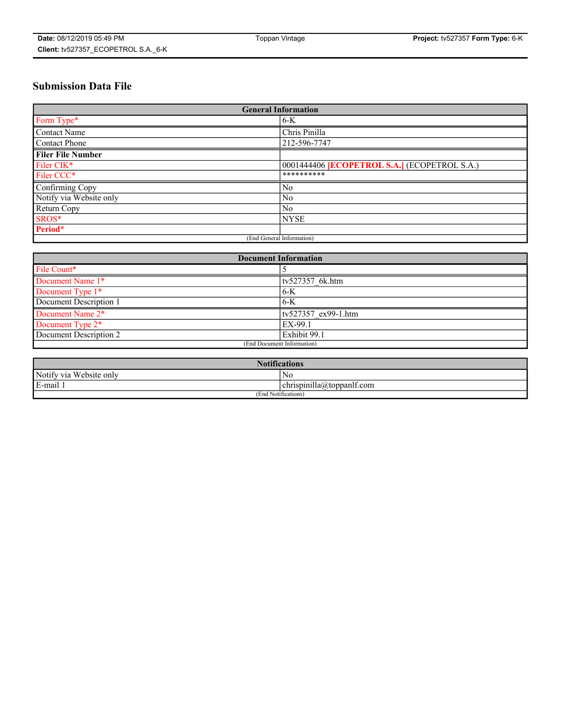# **Submission Data File**

| <b>General Information</b> |                                                     |  |  |  |  |  |
|----------------------------|-----------------------------------------------------|--|--|--|--|--|
| Form Type*                 | $6-K$                                               |  |  |  |  |  |
| Contact Name               | Chris Pinilla                                       |  |  |  |  |  |
| <b>Contact Phone</b>       | 212-596-7747                                        |  |  |  |  |  |
| <b>Filer File Number</b>   |                                                     |  |  |  |  |  |
| Filer CIK*                 | 0001444406 <b>[ECOPETROL S.A.]</b> (ECOPETROL S.A.) |  |  |  |  |  |
| Filer CCC*                 | **********                                          |  |  |  |  |  |
| Confirming Copy            | N <sub>0</sub>                                      |  |  |  |  |  |
| Notify via Website only    | N <sub>0</sub>                                      |  |  |  |  |  |
| Return Copy                | N <sub>0</sub>                                      |  |  |  |  |  |
| SROS*                      | <b>NYSE</b>                                         |  |  |  |  |  |
| Period*                    |                                                     |  |  |  |  |  |
|                            | (End General Information)                           |  |  |  |  |  |

| <b>Document Information</b>         |                            |  |  |  |  |  |  |
|-------------------------------------|----------------------------|--|--|--|--|--|--|
| File Count*                         |                            |  |  |  |  |  |  |
| Document Name 1*<br>tv527357 6k.htm |                            |  |  |  |  |  |  |
| Document Type 1*                    | $6-K$                      |  |  |  |  |  |  |
| Document Description 1              | $6-K$                      |  |  |  |  |  |  |
| Document Name 2*                    | tv527357 ex99-1.htm        |  |  |  |  |  |  |
| Document Type 2*                    | EX-99.1                    |  |  |  |  |  |  |
| Document Description 2              | Exhibit 99.1               |  |  |  |  |  |  |
|                                     | (End Document Information) |  |  |  |  |  |  |

| <b>Notifications</b>          |                           |  |  |  |  |
|-------------------------------|---------------------------|--|--|--|--|
| Notify via Website only<br>No |                           |  |  |  |  |
| E-mail 1                      | chrispinilla@toppanlf.com |  |  |  |  |
| (End Notifications)           |                           |  |  |  |  |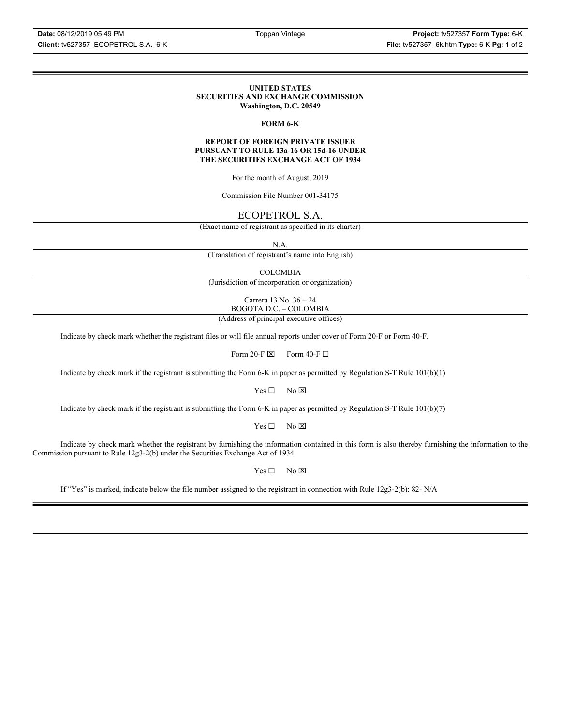#### **UNITED STATES SECURITIES AND EXCHANGE COMMISSION Washington, D.C. 20549**

### **FORM 6-K**

#### **REPORT OF FOREIGN PRIVATE ISSUER PURSUANT TO RULE 13a-16 OR 15d-16 UNDER THE SECURITIES EXCHANGE ACT OF 1934**

For the month of August, 2019

Commission File Number 001-34175

# ECOPETROL S.A.

(Exact name of registrant as specified in its charter)

N.A.

(Translation of registrant's name into English)

COLOMBIA

(Jurisdiction of incorporation or organization)

Carrera 13 No. 36 – 24 BOGOTA D.C. – COLOMBIA

(Address of principal executive offices)

Indicate by check mark whether the registrant files or will file annual reports under cover of Form 20-F or Form 40-F.

Form 20-F  $\boxtimes$  Form 40-F  $\Box$ 

Indicate by check mark if the registrant is submitting the Form 6-K in paper as permitted by Regulation S-T Rule 101(b)(1)

 $Yes \Box$  No  $\boxtimes$ 

Indicate by check mark if the registrant is submitting the Form 6-K in paper as permitted by Regulation S-T Rule 101(b)(7)

 $Yes \Box$  No  $\boxtimes$ 

Indicate by check mark whether the registrant by furnishing the information contained in this form is also thereby furnishing the information to the Commission pursuant to Rule 12g3-2(b) under the Securities Exchange Act of 1934.

 $Yes \Box$  No  $\boxtimes$ 

If "Yes" is marked, indicate below the file number assigned to the registrant in connection with Rule 12g3-2(b): 82- N/A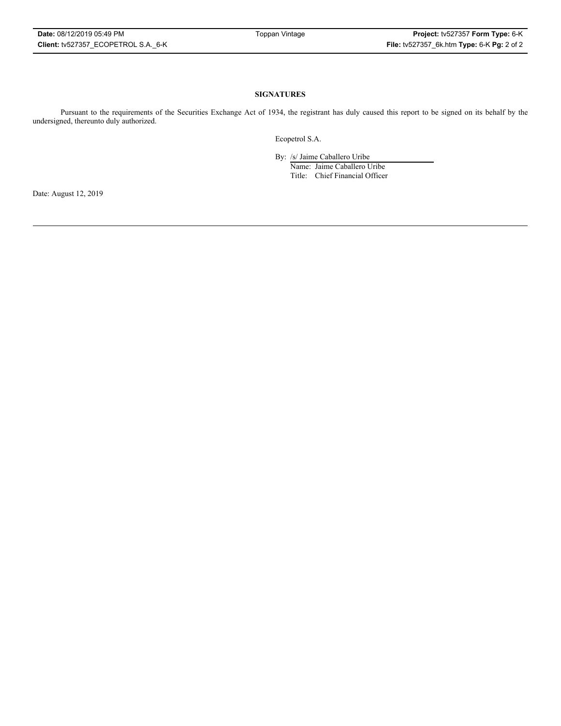### **SIGNATURES**

Pursuant to the requirements of the Securities Exchange Act of 1934, the registrant has duly caused this report to be signed on its behalf by the undersigned, thereunto duly authorized.

Ecopetrol S.A.

By: /s/ Jaime Caballero Uribe

Name: Jaime Caballero Uribe Title: Chief Financial Officer

Date: August 12, 2019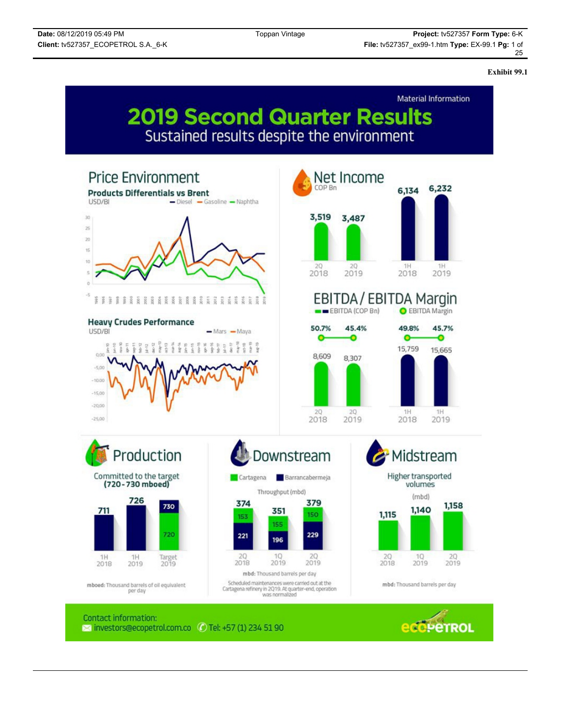**Exhibit 99.1**

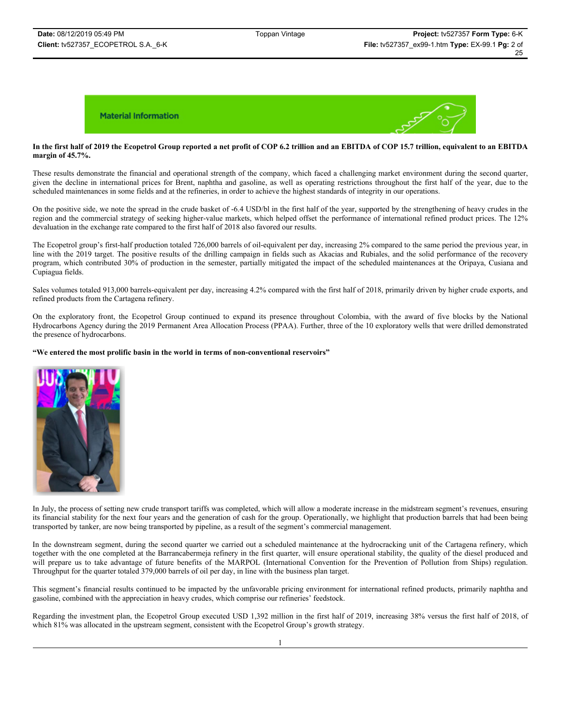# **In the first half of 2019 the Ecopetrol Group reported a net profit of COP 6.2 trillion and an EBITDA of COP 15.7 trillion, equivalent to an EBITDA margin of 45.7%.**

These results demonstrate the financial and operational strength of the company, which faced a challenging market environment during the second quarter, given the decline in international prices for Brent, naphtha and gasoline, as well as operating restrictions throughout the first half of the year, due to the scheduled maintenances in some fields and at the refineries, in order to achieve the highest standards of integrity in our operations.

On the positive side, we note the spread in the crude basket of -6.4 USD/bl in the first half of the year, supported by the strengthening of heavy crudes in the region and the commercial strategy of seeking higher-value markets, which helped offset the performance of international refined product prices. The 12% devaluation in the exchange rate compared to the first half of 2018 also favored our results.

The Ecopetrol group's first-half production totaled 726,000 barrels of oil-equivalent per day, increasing 2% compared to the same period the previous year, in line with the 2019 target. The positive results of the drilling campaign in fields such as Akacias and Rubiales, and the solid performance of the recovery program, which contributed 30% of production in the semester, partially mitigated the impact of the scheduled maintenances at the Oripaya, Cusiana and Cupiagua fields.

Sales volumes totaled 913,000 barrels-equivalent per day, increasing 4.2% compared with the first half of 2018, primarily driven by higher crude exports, and refined products from the Cartagena refinery.

On the exploratory front, the Ecopetrol Group continued to expand its presence throughout Colombia, with the award of five blocks by the National Hydrocarbons Agency during the 2019 Permanent Area Allocation Process (PPAA). Further, three of the 10 exploratory wells that were drilled demonstrated the presence of hydrocarbons.

### **"We entered the most prolific basin in the world in terms of non-conventional reservoirs"**



In July, the process of setting new crude transport tariffs was completed, which will allow a moderate increase in the midstream segment's revenues, ensuring its financial stability for the next four years and the generation of cash for the group. Operationally, we highlight that production barrels that had been being transported by tanker, are now being transported by pipeline, as a result of the segment's commercial management.

In the downstream segment, during the second quarter we carried out a scheduled maintenance at the hydrocracking unit of the Cartagena refinery, which together with the one completed at the Barrancabermeja refinery in the first quarter, will ensure operational stability, the quality of the diesel produced and will prepare us to take advantage of future benefits of the MARPOL (International Convention for the Prevention of Pollution from Ships) regulation. Throughput for the quarter totaled 379,000 barrels of oil per day, in line with the business plan target.

This segment's financial results continued to be impacted by the unfavorable pricing environment for international refined products, primarily naphtha and gasoline, combined with the appreciation in heavy crudes, which comprise our refineries' feedstock.

Regarding the investment plan, the Ecopetrol Group executed USD 1,392 million in the first half of 2019, increasing 38% versus the first half of 2018, of which 81% was allocated in the upstream segment, consistent with the Ecopetrol Group's growth strategy.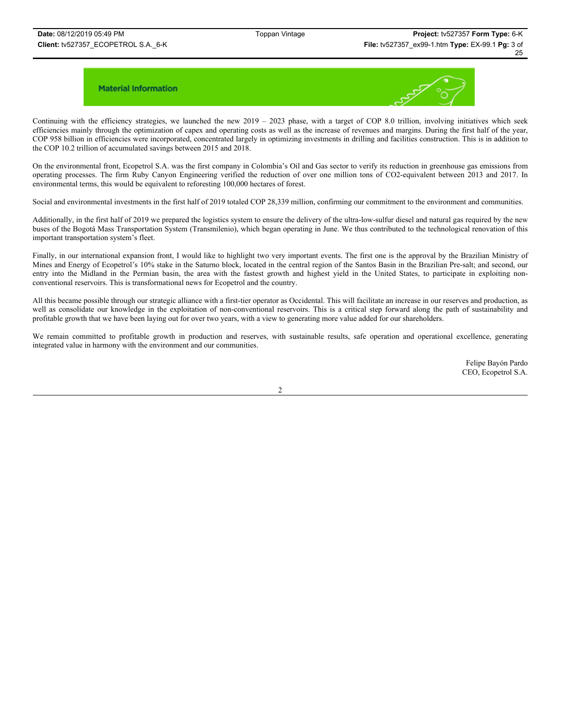

Continuing with the efficiency strategies, we launched the new  $2019 - 2023$  phase, with a target of COP 8.0 trillion, involving initiatives which seek efficiencies mainly through the optimization of capex and operating costs as well as the increase of revenues and margins. During the first half of the year, COP 958 billion in efficiencies were incorporated, concentrated largely in optimizing investments in drilling and facilities construction. This is in addition to the COP 10.2 trillion of accumulated savings between 2015 and 2018.

On the environmental front, Ecopetrol S.A. was the first company in Colombia's Oil and Gas sector to verify its reduction in greenhouse gas emissions from operating processes. The firm Ruby Canyon Engineering verified the reduction of over one million tons of CO2-equivalent between 2013 and 2017. In environmental terms, this would be equivalent to reforesting 100,000 hectares of forest.

Social and environmental investments in the first half of 2019 totaled COP 28,339 million, confirming our commitment to the environment and communities.

Additionally, in the first half of 2019 we prepared the logistics system to ensure the delivery of the ultra-low-sulfur diesel and natural gas required by the new buses of the Bogotá Mass Transportation System (Transmilenio), which began operating in June. We thus contributed to the technological renovation of this important transportation system's fleet.

Finally, in our international expansion front, I would like to highlight two very important events. The first one is the approval by the Brazilian Ministry of Mines and Energy of Ecopetrol's 10% stake in the Saturno block, located in the central region of the Santos Basin in the Brazilian Pre-salt; and second, our entry into the Midland in the Permian basin, the area with the fastest growth and highest yield in the United States, to participate in exploiting nonconventional reservoirs. This is transformational news for Ecopetrol and the country.

All this became possible through our strategic alliance with a first-tier operator as Occidental. This will facilitate an increase in our reserves and production, as well as consolidate our knowledge in the exploitation of non-conventional reservoirs. This is a critical step forward along the path of sustainability and profitable growth that we have been laying out for over two years, with a view to generating more value added for our shareholders.

We remain committed to profitable growth in production and reserves, with sustainable results, safe operation and operational excellence, generating integrated value in harmony with the environment and our communities.

> Felipe Bayón Pardo CEO, Ecopetrol S.A.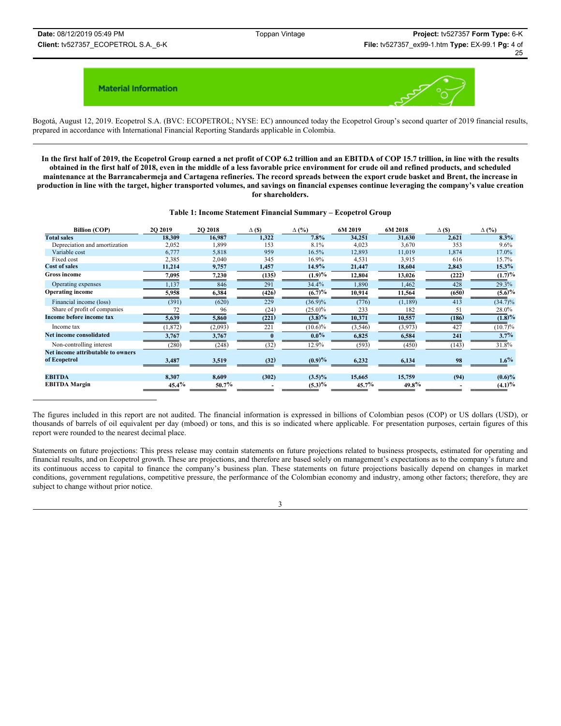

Bogotá, August 12, 2019. Ecopetrol S.A. (BVC: ECOPETROL; NYSE: EC) announced today the Ecopetrol Group's second quarter of 2019 financial results, prepared in accordance with International Financial Reporting Standards applicable in Colombia.

**In the first half of 2019, the Ecopetrol Group earned a net profit of COP 6.2 trillion and an EBITDA of COP 15.7 trillion, in line with the results obtained in the first half of 2018, even in the middle of a less favorable price environment for crude oil and refined products, and scheduled maintenance at the Barrancabermeja and Cartagena refineries. The record spreads between the export crude basket and Brent, the increase in production in line with the target, higher transported volumes, and savings on financial expenses continue leveraging the company's value creation for shareholders.**

#### **Table 1: Income Statement Financial Summary – Ecopetrol Group**

| <b>Billion (COP)</b>              | <b>2O 2019</b> | 2Q 2018  | $\Delta$ (\$) | $\Delta$ (%)  | 6M 2019  | 6M 2018  | $\Delta$ (\$) | $\Delta$ (%)           |
|-----------------------------------|----------------|----------|---------------|---------------|----------|----------|---------------|------------------------|
| <b>Total sales</b>                | 18,309         | 16,987   | 1,322         | 7.8%          | 34,251   | 31,630   | 2,621         | 8.3%                   |
| Depreciation and amortization     | 2,052          | 1,899    | 153           | 8.1%          | 4,023    | 3,670    | 353           | 9.6%                   |
| Variable cost                     | 6,777          | 5,818    | 959           | 16.5%         | 12,893   | 11,019   | 1,874         | 17.0%                  |
| Fixed cost                        | 2,385          | 2,040    | 345           | 16.9%         | 4,531    | 3,915    | 616           | 15.7%                  |
| <b>Cost of sales</b>              | 11,214         | 9,757    | 1,457         | $14.9\%$      | 21,447   | 18,604   | 2,843         | $15.3\%$               |
| <b>Gross income</b>               | 7,095          | 7,230    | (135)         | (1.9)%        | 12,804   | 13,026   | (222)         | (1.7)%                 |
| Operating expenses                | 1,137          | 846      | 291           | 34.4%         | 1,890    | 1,462    | 428           | 29.3%                  |
| <b>Operating income</b>           | 5,958          | 6,384    | (426)         | $(6.7)^{0/6}$ | 10,914   | 11,564   | (650)         | $(5.6)\%$              |
| Financial income (loss)           | (391)          | (620)    | 229           | $(36.9)\%$    | (776)    | (1, 189) | 413           | $(34.7)\%$             |
| Share of profit of companies      |                | 96       | (24)          | $(25.0)\%$    | 233      | 182      | 51            | 28.0%                  |
| Income before income tax          | 5,639          | 5,860    | (221)         | (3.8)%        | 10,371   | 10,557   | (186)         | $\overline{(1.8)^{9}}$ |
| Income tax                        | (1, 872)       | (2,093)  | 221           | $(10.6)\%$    | (3,546)  | (3,973)  | 427           | (10.7)%                |
| Net income consolidated           | 3,767          | 3,767    |               | $0.0\%$       | 6,825    | 6,584    | 241           | 3.7%                   |
| Non-controlling interest          | (280)          | (248)    | (32)          | 12.9%         | (593)    | (450)    | (143)         | 31.8%                  |
| Net income attributable to owners |                |          |               |               |          |          |               |                        |
| of Ecopetrol                      | 3,487          | 3,519    | (32)          | (0.9)%        | 6,232    | 6,134    | 98            | $1.6\%$                |
| <b>EBITDA</b>                     | 8,307          | 8.609    | (302)         | $(3.5)\%$     | 15,665   | 15,759   | (94)          | $(0.6)\%$              |
| <b>EBITDA</b> Margin              | $45.4\%$       | $50.7\%$ |               | (5.3)%        | $45.7\%$ | $49.8\%$ |               | (4.1)%                 |

The figures included in this report are not audited. The financial information is expressed in billions of Colombian pesos (COP) or US dollars (USD), or thousands of barrels of oil equivalent per day (mboed) or tons, and this is so indicated where applicable. For presentation purposes, certain figures of this report were rounded to the nearest decimal place.

Statements on future projections: This press release may contain statements on future projections related to business prospects, estimated for operating and financial results, and on Ecopetrol growth. These are projections, and therefore are based solely on management's expectations as to the company's future and its continuous access to capital to finance the company's business plan. These statements on future projections basically depend on changes in market conditions, government regulations, competitive pressure, the performance of the Colombian economy and industry, among other factors; therefore, they are subject to change without prior notice.

3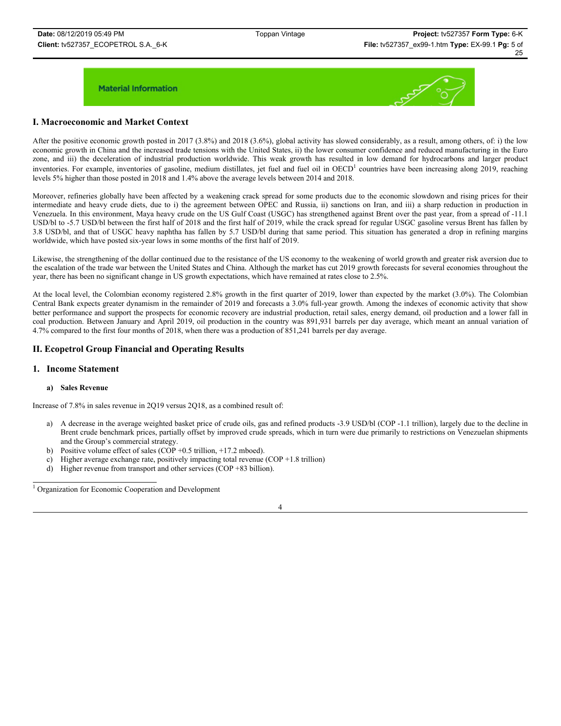

### **I. Macroeconomic and Market Context**

After the positive economic growth posted in 2017 (3.8%) and 2018 (3.6%), global activity has slowed considerably, as a result, among others, of: i) the low economic growth in China and the increased trade tensions with the United States, ii) the lower consumer confidence and reduced manufacturing in the Euro zone, and iii) the deceleration of industrial production worldwide. This weak growth has resulted in low demand for hydrocarbons and larger product inventories. For example, inventories of gasoline, medium distillates, jet fuel and fuel oil in OECD<sup>1</sup> countries have been increasing along 2019, reaching levels 5% higher than those posted in 2018 and 1.4% above the average levels between 2014 and 2018.

Moreover, refineries globally have been affected by a weakening crack spread for some products due to the economic slowdown and rising prices for their intermediate and heavy crude diets, due to i) the agreement between OPEC and Russia, ii) sanctions on Iran, and iii) a sharp reduction in production in Venezuela. In this environment, Maya heavy crude on the US Gulf Coast (USGC) has strengthened against Brent over the past year, from a spread of -11.1 USD/bl to -5.7 USD/bl between the first half of 2018 and the first half of 2019, while the crack spread for regular USGC gasoline versus Brent has fallen by 3.8 USD/bl, and that of USGC heavy naphtha has fallen by 5.7 USD/bl during that same period. This situation has generated a drop in refining margins worldwide, which have posted six-year lows in some months of the first half of 2019.

Likewise, the strengthening of the dollar continued due to the resistance of the US economy to the weakening of world growth and greater risk aversion due to the escalation of the trade war between the United States and China. Although the market has cut 2019 growth forecasts for several economies throughout the year, there has been no significant change in US growth expectations, which have remained at rates close to 2.5%.

At the local level, the Colombian economy registered 2.8% growth in the first quarter of 2019, lower than expected by the market (3.0%). The Colombian Central Bank expects greater dynamism in the remainder of 2019 and forecasts a 3.0% full-year growth. Among the indexes of economic activity that show better performance and support the prospects for economic recovery are industrial production, retail sales, energy demand, oil production and a lower fall in coal production. Between January and April 2019, oil production in the country was 891,931 barrels per day average, which meant an annual variation of 4.7% compared to the first four months of 2018, when there was a production of 851,241 barrels per day average.

### **II. Ecopetrol Group Financial and Operating Results**

### **1. Income Statement**

### **a) Sales Revenue**

Increase of 7.8% in sales revenue in 2Q19 versus 2Q18, as a combined result of:

- a) A decrease in the average weighted basket price of crude oils, gas and refined products -3.9 USD/bl (COP -1.1 trillion), largely due to the decline in Brent crude benchmark prices, partially offset by improved crude spreads, which in turn were due primarily to restrictions on Venezuelan shipments and the Group's commercial strategy.
- b) Positive volume effect of sales (COP +0.5 trillion, +17.2 mboed).
- c) Higher average exchange rate, positively impacting total revenue (COP +1.8 trillion)
- d) Higher revenue from transport and other services (COP +83 billion).

<sup>1</sup> Organization for Economic Cooperation and Development

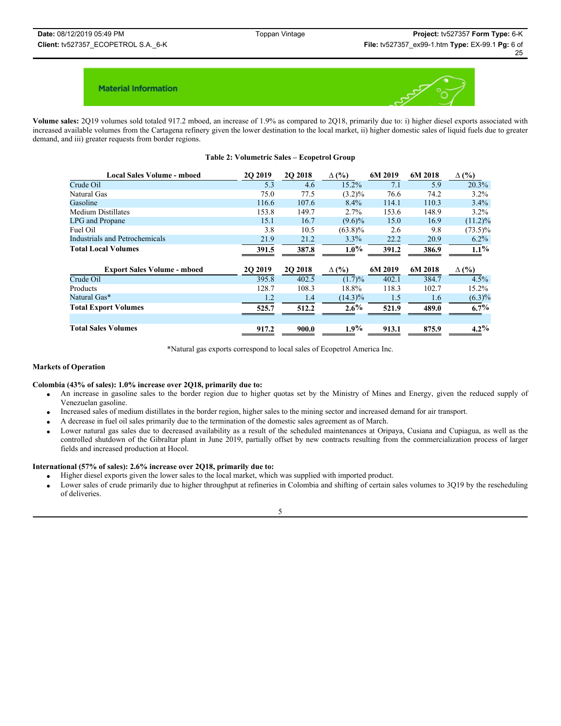

**Volume sales:** 2Q19 volumes sold totaled 917.2 mboed, an increase of 1.9% as compared to 2Q18, primarily due to: i) higher diesel exports associated with increased available volumes from the Cartagena refinery given the lower destination to the local market, ii) higher domestic sales of liquid fuels due to greater demand, and iii) greater requests from border regions.

### **Table 2: Volumetric Sales – Ecopetrol Group**

| <b>Local Sales Volume - mboed</b>  | 2Q 2019 | 2Q 2018  | $\Delta$ (%) | 6M 2019 | 6M 2018 | $\Delta$ (%) |
|------------------------------------|---------|----------|--------------|---------|---------|--------------|
| Crude Oil                          | 5.3     | 4.6      | 15.2%        | 7.1     | 5.9     | 20.3%        |
| Natural Gas                        | 75.0    | 77.5     | $(3.2)\%$    | 76.6    | 74.2    | $3.2\%$      |
| Gasoline                           | 116.6   | 107.6    | 8.4%         | 114.1   | 110.3   | $3.4\%$      |
| <b>Medium Distillates</b>          | 153.8   | 149.7    | 2.7%         | 153.6   | 148.9   | $3.2\%$      |
| LPG and Propane                    | 15.1    | 16.7     | $(9.6)\%$    | 15.0    | 16.9    | $(11.2)\%$   |
| Fuel Oil                           | 3.8     | 10.5     | $(63.8)\%$   | 2.6     | 9.8     | $(73.5)\%$   |
| Industrials and Petrochemicals     | 21.9    | 21.2     | 3.3%         | 22.2    | 20.9    | $6.2\%$      |
| <b>Total Local Volumes</b>         | 391.5   | 387.8    | $1.0\%$      | 391.2   | 386.9   | $1.1\%$      |
| <b>Export Sales Volume - mboed</b> | 2Q 2019 | 20 20 18 | $\Delta$ (%) | 6M 2019 | 6M 2018 | $\Delta$ (%) |
| Crude Oil                          | 395.8   | 402.5    | $(1.7)\%$    | 402.1   | 384.7   | 4.5%         |
| Products                           | 128.7   | 108.3    | 18.8%        | 118.3   | 102.7   | 15.2%        |
| Natural Gas*                       | 1.2     | 1.4      | $(14.3)\%$   | 1.5     | 1.6     | $(6.3)\%$    |
| <b>Total Export Volumes</b>        | 525.7   | 512.2    | $2.6\%$      | 521.9   | 489.0   | $6.7\%$      |
| <b>Total Sales Volumes</b>         | 917.2   | 900.0    | $1.9\%$      | 913.1   | 875.9   | $4.2\%$      |

\*Natural gas exports correspond to local sales of Ecopetrol America Inc.

### **Markets of Operation**

#### **Colombia (43% of sales): 1.0% increase over 2Q18, primarily due to:**

- x An increase in gasoline sales to the border region due to higher quotas set by the Ministry of Mines and Energy, given the reduced supply of Venezuelan gasoline.
- x Increased sales of medium distillates in the border region, higher sales to the mining sector and increased demand for air transport.
- x A decrease in fuel oil sales primarily due to the termination of the domestic sales agreement as of March.
- Lower natural gas sales due to decreased availability as a result of the scheduled maintenances at Oripaya, Cusiana and Cupiagua, as well as the controlled shutdown of the Gibraltar plant in June 2019, partially offset by new contracts resulting from the commercialization process of larger fields and increased production at Hocol.

### **International (57% of sales): 2.6% increase over 2Q18, primarily due to:**

- x Higher diesel exports given the lower sales to the local market, which was supplied with imported product.
- Lower sales of crude primarily due to higher throughput at refineries in Colombia and shifting of certain sales volumes to 3Q19 by the rescheduling of deliveries.

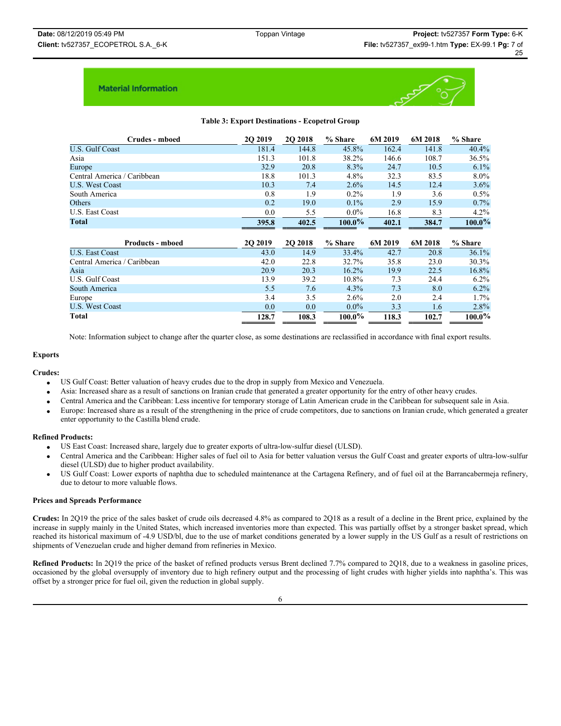

### **Table 3: Export Destinations - Ecopetrol Group**

| Crudes - mboed              | 2Q 2019         | <b>202018</b> | % Share   | 6M 2019 | 6M 2018 | % Share   |
|-----------------------------|-----------------|---------------|-----------|---------|---------|-----------|
| U.S. Gulf Coast             | 181.4           | 144.8         | 45.8%     | 162.4   | 141.8   | 40.4%     |
| Asia                        | 151.3           | 101.8         | 38.2%     | 146.6   | 108.7   | 36.5%     |
| Europe                      | 32.9            | 20.8          | 8.3%      | 24.7    | 10.5    | $6.1\%$   |
| Central America / Caribbean | 18.8            | 101.3         | $4.8\%$   | 32.3    | 83.5    | $8.0\%$   |
| <b>U.S. West Coast</b>      | 10.3            | 7.4           | 2.6%      | 14.5    | 12.4    | 3.6%      |
| South America               | 0.8             | 1.9           | $0.2\%$   | 1.9     | 3.6     | 0.5%      |
| Others                      | 0.2             | 19.0          | $0.1\%$   | 2.9     | 15.9    | 0.7%      |
| U.S. East Coast             | 0.0             | 5.5           | $0.0\%$   | 16.8    | 8.3     | 4.2%      |
| Total                       | 395.8           | 402.5         | $100.0\%$ | 402.1   | 384.7   | $100.0\%$ |
|                             |                 |               |           |         |         |           |
| <b>Products - mboed</b>     | <b>20 20 19</b> | 2Q 2018       | % Share   | 6M 2019 | 6M 2018 | % Share   |
| <b>U.S. East Coast</b>      | 43.0            | 14.9          | 33.4%     | 42.7    | 20.8    | 36.1%     |
| Central America / Caribbean | 42.0            | 22.8          | 32.7%     | 35.8    | 23.0    | 30.3%     |
| Asia                        | 20.9            | 20.3          | $16.2\%$  | 19.9    | 22.5    | 16.8%     |
| U.S. Gulf Coast             | 13.9            | 39.2          | 10.8%     | 7.3     | 24.4    | $6.2\%$   |
| South America               | 5.5             | 7.6           | $4.3\%$   | 7.3     | 8.0     | $6.2\%$   |
| Europe                      | 3.4             | 3.5           | 2.6%      | 2.0     | 2.4     | 1.7%      |
| <b>U.S. West Coast</b>      | 0.0             | 0.0           | $0.0\%$   | 3.3     | 1.6     | 2.8%      |

Note: Information subject to change after the quarter close, as some destinations are reclassified in accordance with final export results.

#### **Exports**

#### **Crudes:**

- x US Gulf Coast: Better valuation of heavy crudes due to the drop in supply from Mexico and Venezuela.
- x Asia: Increased share as a result of sanctions on Iranian crude that generated a greater opportunity for the entry of other heavy crudes.
- x Central America and the Caribbean: Less incentive for temporary storage of Latin American crude in the Caribbean for subsequent sale in Asia.
- Europe: Increased share as a result of the strengthening in the price of crude competitors, due to sanctions on Iranian crude, which generated a greater enter opportunity to the Castilla blend crude.

#### **Refined Products:**

- x US East Coast: Increased share, largely due to greater exports of ultra-low-sulfur diesel (ULSD).
- x Central America and the Caribbean: Higher sales of fuel oil to Asia for better valuation versus the Gulf Coast and greater exports of ultra-low-sulfur diesel (ULSD) due to higher product availability.
- x US Gulf Coast: Lower exports of naphtha due to scheduled maintenance at the Cartagena Refinery, and of fuel oil at the Barrancabermeja refinery, due to detour to more valuable flows.

#### **Prices and Spreads Performance**

**Crudes:** In 2Q19 the price of the sales basket of crude oils decreased 4.8% as compared to 2Q18 as a result of a decline in the Brent price, explained by the increase in supply mainly in the United States, which increased inventories more than expected. This was partially offset by a stronger basket spread, which reached its historical maximum of -4.9 USD/bl, due to the use of market conditions generated by a lower supply in the US Gulf as a result of restrictions on shipments of Venezuelan crude and higher demand from refineries in Mexico.

**Refined Products:** In 2Q19 the price of the basket of refined products versus Brent declined 7.7% compared to 2Q18, due to a weakness in gasoline prices, occasioned by the global oversupply of inventory due to high refinery output and the processing of light crudes with higher yields into naphtha's. This was offset by a stronger price for fuel oil, given the reduction in global supply.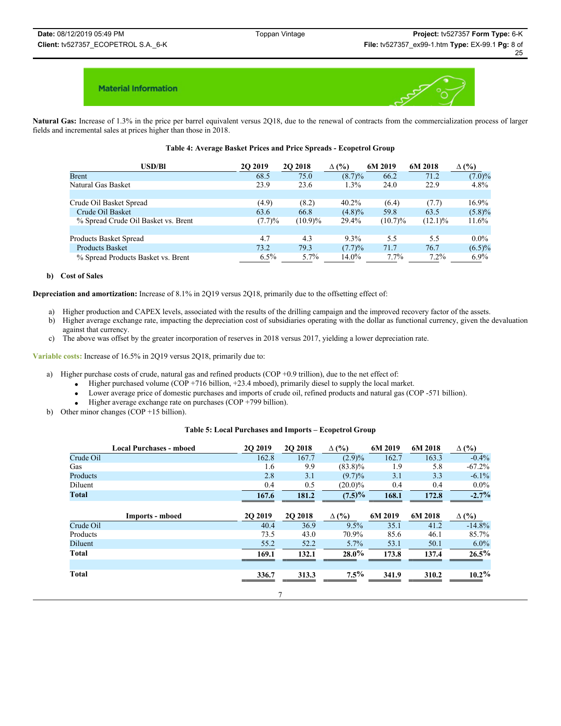

**Natural Gas:** Increase of 1.3% in the price per barrel equivalent versus 2Q18, due to the renewal of contracts from the commercialization process of larger fields and incremental sales at prices higher than those in 2018.

#### **Table 4: Average Basket Prices and Price Spreads - Ecopetrol Group**

| <b>USD/Bl</b>                       | <b>20 20 19</b> | <b>2O 2018</b> | $\Delta$ (%) | 6M 2019    | 6M 2018    | $\Delta$ (%) |
|-------------------------------------|-----------------|----------------|--------------|------------|------------|--------------|
| <b>Brent</b>                        | 68.5            | 75.0           | $(8.7)\%$    | 66.2       | 71.2       | $(7.0)\%$    |
| Natural Gas Basket                  | 23.9            | 23.6           | 1.3%         | 24.0       | 22.9       | $4.8\%$      |
|                                     |                 |                |              |            |            |              |
| Crude Oil Basket Spread             | (4.9)           | (8.2)          | $40.2\%$     | (6.4)      | (7.7)      | 16.9%        |
| Crude Oil Basket                    | 63.6            | 66.8           | $(4.8)\%$    | 59.8       | 63.5       | $(5.8)\%$    |
| % Spread Crude Oil Basket vs. Brent | (7.7)%          | $(10.9)\%$     | 29.4%        | $(10.7)\%$ | $(12.1)\%$ | 11.6%        |
|                                     |                 |                |              |            |            |              |
| Products Basket Spread              | 4.7             | 4.3            | $9.3\%$      | 5.5        | 5.5        | $0.0\%$      |
| <b>Products Basket</b>              | 73.2            | 79.3           | (7.7)%       | 71.7       | 76.7       | $(6.5)\%$    |
| % Spread Products Basket vs. Brent  | $6.5\%$         | 5.7%           | 14.0%        | 7.7%       | 7.2%       | $6.9\%$      |

#### **b) Cost of Sales**

**Depreciation and amortization:** Increase of 8.1% in 2Q19 versus 2Q18, primarily due to the offsetting effect of:

- a) Higher production and CAPEX levels, associated with the results of the drilling campaign and the improved recovery factor of the assets.
- b) Higher average exchange rate, impacting the depreciation cost of subsidiaries operating with the dollar as functional currency, given the devaluation against that currency.
- c) The above was offset by the greater incorporation of reserves in 2018 versus 2017, yielding a lower depreciation rate.

**Variable costs:** Increase of 16.5% in 2Q19 versus 2Q18, primarily due to:

- a) Higher purchase costs of crude, natural gas and refined products (COP +0.9 trillion), due to the net effect of:
	- $\bullet$  Higher purchased volume (COP +716 billion, +23.4 mboed), primarily diesel to supply the local market.
	- Lower average price of domestic purchases and imports of crude oil, refined products and natural gas (COP -571 billion).
	- Higher average exchange rate on purchases (COP +799 billion).
- b) Other minor changes (COP +15 billion).

### **Table 5: Local Purchases and Imports – Ecopetrol Group**

|           | <b>Local Purchases - mboed</b> | <b>2O 2019</b> | <b>2O 2018</b> | $\Delta$ (%) | 6M 2019 | 6M 2018 | $\Delta$ (%) |
|-----------|--------------------------------|----------------|----------------|--------------|---------|---------|--------------|
| Crude Oil |                                | 162.8          | 167.7          | $(2.9)\%$    | 162.7   | 163.3   | $-0.4\%$     |
| Gas       |                                | 1.6            | 9.9            | $(83.8)\%$   | 1.9     | 5.8     | $-67.2%$     |
| Products  |                                | 2.8            | 3.1            | $(9.7)\%$    | 3.1     | 3.3     | $-6.1\%$     |
| Diluent   |                                | 0.4            | 0.5            | $(20.0)\%$   | 0.4     | 0.4     | $0.0\%$      |
| Total     |                                | 167.6          | 181.2          | $(7.5)\%$    | 168.1   | 172.8   | $-2.7%$      |
|           |                                |                |                |              |         |         |              |
|           | Imports - mboed                | <b>2O 2019</b> | <b>2O 2018</b> | $\Delta$ (%) | 6M 2019 | 6M 2018 | $\Delta$ (%) |
| Crude Oil |                                | 40.4           | 36.9           | 9.5%         | 35.1    | 41.2    | $-14.8%$     |
| Products  |                                | 73.5           | 43.0           | 70.9%        | 85.6    | 46.1    | 85.7%        |
| Diluent   |                                | 55.2           | 52.2           | 5.7%         | 53.1    | 50.1    | $6.0\%$      |
| Total     |                                | 169.1          | 132.1          | $28.0\%$     | 173.8   | 137.4   | 26.5%        |
|           |                                |                |                |              |         |         |              |
| Total     |                                | 336.7          | 313.3          | $7.5\%$      | 341.9   | 310.2   | $10.2\%$     |
|           |                                |                |                |              |         |         |              |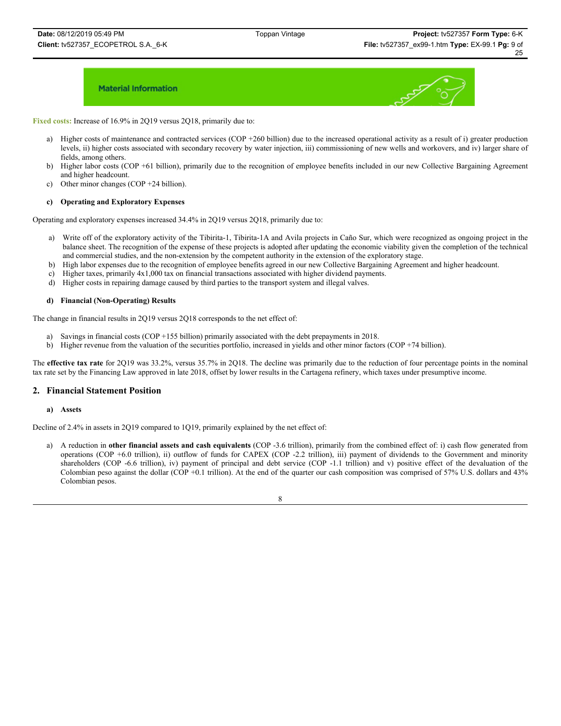

**Fixed costs:** Increase of 16.9% in 2Q19 versus 2Q18, primarily due to:

- a) Higher costs of maintenance and contracted services (COP +260 billion) due to the increased operational activity as a result of i) greater production levels, ii) higher costs associated with secondary recovery by water injection, iii) commissioning of new wells and workovers, and iv) larger share of fields, among others.
- b) Higher labor costs (COP +61 billion), primarily due to the recognition of employee benefits included in our new Collective Bargaining Agreement and higher headcount.
- c) Other minor changes (COP +24 billion).

#### **c) Operating and Exploratory Expenses**

Operating and exploratory expenses increased 34.4% in 2Q19 versus 2Q18, primarily due to:

- a) Write off of the exploratory activity of the Tibirita-1, Tibirita-1A and Avila projects in Caño Sur, which were recognized as ongoing project in the balance sheet. The recognition of the expense of these projects is adopted after updating the economic viability given the completion of the technical and commercial studies, and the non-extension by the competent authority in the extension of the exploratory stage.
- b) High labor expenses due to the recognition of employee benefits agreed in our new Collective Bargaining Agreement and higher headcount.
- c) Higher taxes, primarily 4x1,000 tax on financial transactions associated with higher dividend payments.
- d) Higher costs in repairing damage caused by third parties to the transport system and illegal valves.

#### **d) Financial (Non-Operating) Results**

The change in financial results in 2Q19 versus 2Q18 corresponds to the net effect of:

- a) Savings in financial costs (COP +155 billion) primarily associated with the debt prepayments in 2018.
- b) Higher revenue from the valuation of the securities portfolio, increased in yields and other minor factors (COP +74 billion).

The **effective tax rate** for 2Q19 was 33.2%, versus 35.7% in 2Q18. The decline was primarily due to the reduction of four percentage points in the nominal tax rate set by the Financing Law approved in late 2018, offset by lower results in the Cartagena refinery, which taxes under presumptive income.

### **2. Financial Statement Position**

#### **a) Assets**

Decline of 2.4% in assets in 2Q19 compared to 1Q19, primarily explained by the net effect of:

a) A reduction in **other financial assets and cash equivalents** (COP -3.6 trillion), primarily from the combined effect of: i) cash flow generated from operations (COP +6.0 trillion), ii) outflow of funds for CAPEX (COP -2.2 trillion), iii) payment of dividends to the Government and minority shareholders (COP -6.6 trillion), iv) payment of principal and debt service (COP -1.1 trillion) and v) positive effect of the devaluation of the Colombian peso against the dollar (COP +0.1 trillion). At the end of the quarter our cash composition was comprised of 57% U.S. dollars and 43% Colombian pesos.

8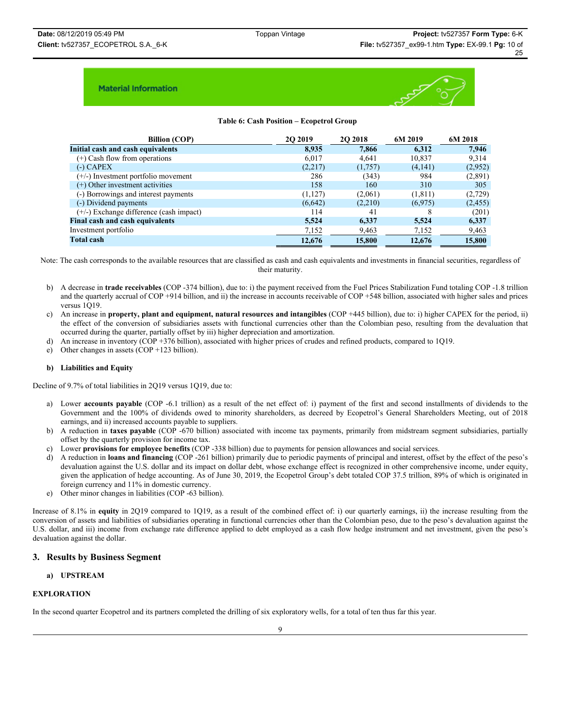

### **Table 6: Cash Position – Ecopetrol Group**

| <b>Billion (COP)</b>                      | 20 20 19 | <b>202018</b> | 6M 2019  | 6M 2018  |
|-------------------------------------------|----------|---------------|----------|----------|
| Initial cash and cash equivalents         | 8,935    | 7.866         | 6.312    | 7,946    |
| (+) Cash flow from operations             | 6,017    | 4,641         | 10,837   | 9,314    |
| $(-)$ CAPEX                               | (2,217)  | (1,757)       | (4,141)  | (2,952)  |
| (+/-) Investment portfolio movement       | 286      | (343)         | 984      | (2,891)  |
| (+) Other investment activities           | 158      | 160           | 310      | 305      |
| (-) Borrowings and interest payments      | (1,127)  | (2,061)       | (1, 811) | (2,729)  |
| (-) Dividend payments                     | (6,642)  | (2,210)       | (6,975)  | (2, 455) |
| $(+/-)$ Exchange difference (cash impact) | 114      | 41            |          | (201)    |
| <b>Final cash and cash equivalents</b>    | 5,524    | 6,337         | 5,524    | 6,337    |
| Investment portfolio                      | 7,152    | 9,463         | 7,152    | 9,463    |
| <b>Total cash</b>                         | 12,676   | 15,800        | 12,676   | 15,800   |

Note: The cash corresponds to the available resources that are classified as cash and cash equivalents and investments in financial securities, regardless of their maturity.

- b) A decrease in **trade receivables** (COP -374 billion), due to: i) the payment received from the Fuel Prices Stabilization Fund totaling COP -1.8 trillion and the quarterly accrual of COP +914 billion, and ii) the increase in accounts receivable of COP +548 billion, associated with higher sales and prices versus 1019
- c) An increase in **property, plant and equipment, natural resources and intangibles** (COP +445 billion), due to: i) higher CAPEX for the period, ii) the effect of the conversion of subsidiaries assets with functional currencies other than the Colombian peso, resulting from the devaluation that occurred during the quarter, partially offset by iii) higher depreciation and amortization.
- d) An increase in inventory (COP +376 billion), associated with higher prices of crudes and refined products, compared to 1Q19.
- e) Other changes in assets (COP +123 billion).

### **b) Liabilities and Equity**

Decline of 9.7% of total liabilities in 2Q19 versus 1Q19, due to:

- a) Lower **accounts payable** (COP -6.1 trillion) as a result of the net effect of: i) payment of the first and second installments of dividends to the Government and the 100% of dividends owed to minority shareholders, as decreed by Ecopetrol's General Shareholders Meeting, out of 2018 earnings, and ii) increased accounts payable to suppliers.
- b) A reduction in **taxes payable** (COP -670 billion) associated with income tax payments, primarily from midstream segment subsidiaries, partially offset by the quarterly provision for income tax.
- c) Lower **provisions for employee benefits** (COP -338 billion) due to payments for pension allowances and social services.
- d) A reduction in **loans and financing** (COP -261 billion) primarily due to periodic payments of principal and interest, offset by the effect of the peso's devaluation against the U.S. dollar and its impact on dollar debt, whose exchange effect is recognized in other comprehensive income, under equity, given the application of hedge accounting. As of June 30, 2019, the Ecopetrol Group's debt totaled COP 37.5 trillion, 89% of which is originated in foreign currency and 11% in domestic currency.
- e) Other minor changes in liabilities (COP -63 billion).

Increase of 8.1% in **equity** in 2Q19 compared to 1Q19, as a result of the combined effect of: i) our quarterly earnings, ii) the increase resulting from the conversion of assets and liabilities of subsidiaries operating in functional currencies other than the Colombian peso, due to the peso's devaluation against the U.S. dollar, and iii) income from exchange rate difference applied to debt employed as a cash flow hedge instrument and net investment, given the peso's devaluation against the dollar.

### **3. Results by Business Segment**

#### **a) UPSTREAM**

#### **EXPLORATION**

In the second quarter Ecopetrol and its partners completed the drilling of six exploratory wells, for a total of ten thus far this year.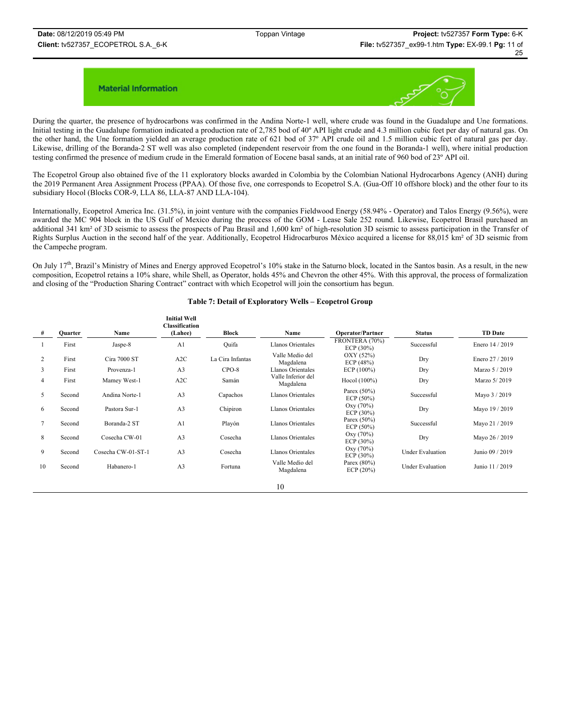

During the quarter, the presence of hydrocarbons was confirmed in the Andina Norte-1 well, where crude was found in the Guadalupe and Une formations. Initial testing in the Guadalupe formation indicated a production rate of 2,785 bod of 40º API light crude and 4.3 million cubic feet per day of natural gas. On the other hand, the Une formation yielded an average production rate of 621 bod of 37º API crude oil and 1.5 million cubic feet of natural gas per day. Likewise, drilling of the Boranda-2 ST well was also completed (independent reservoir from the one found in the Boranda-1 well), where initial production testing confirmed the presence of medium crude in the Emerald formation of Eocene basal sands, at an initial rate of 960 bod of 23º API oil.

The Ecopetrol Group also obtained five of the 11 exploratory blocks awarded in Colombia by the Colombian National Hydrocarbons Agency (ANH) during the 2019 Permanent Area Assignment Process (PPAA). Of those five, one corresponds to Ecopetrol S.A. (Gua-Off 10 offshore block) and the other four to its subsidiary Hocol (Blocks COR-9, LLA 86, LLA-87 AND LLA-104).

Internationally, Ecopetrol America Inc. (31.5%), in joint venture with the companies Fieldwood Energy (58.94% - Operator) and Talos Energy (9.56%), were awarded the MC 904 block in the US Gulf of Mexico during the process of the GOM - Lease Sale 252 round. Likewise, Ecopetrol Brasil purchased an additional 341 km<sup>2</sup> of 3D seismic to assess the prospects of Pau Brasil and 1,600 km<sup>2</sup> of high-resolution 3D seismic to assess participation in the Transfer of Rights Surplus Auction in the second half of the year. Additionally, Ecopetrol Hidrocarburos México acquired a license for 88,015 km² of 3D seismic from the Campeche program.

On July  $17<sup>th</sup>$ , Brazil's Ministry of Mines and Energy approved Ecopetrol's 10% stake in the Saturno block, located in the Santos basin. As a result, in the new composition, Ecopetrol retains a 10% share, while Shell, as Operator, holds 45% and Chevron the other 45%. With this approval, the process of formalization and closing of the "Production Sharing Contract" contract with which Ecopetrol will join the consortium has begun.

#### **Table 7: Detail of Exploratory Wells – Ecopetrol Group**

| #  | Quarter | Name               | <b>Initial Well</b><br><b>Classification</b><br>(Lahee) | Block            | Name                            | <b>Operator/Partner</b>        | <b>Status</b>           | <b>TD</b> Date  |
|----|---------|--------------------|---------------------------------------------------------|------------------|---------------------------------|--------------------------------|-------------------------|-----------------|
|    | First   | Jaspe-8            | A <sub>1</sub>                                          | Ouifa            | <b>Llanos Orientales</b>        | FRONTERA (70%)<br>ECP (30%)    | Successful              | Enero 14 / 2019 |
| 2  | First   | Cira 7000 ST       | A2C                                                     | La Cira Infantas | Valle Medio del<br>Magdalena    | OXY (52%)<br>ECP (48%)         | Dry                     | Enero 27 / 2019 |
| 3  | First   | Provenza-1         | A <sub>3</sub>                                          | $CPO-8$          | Llanos Orientales               | ECP(100%)                      | Dry                     | Marzo 5 / 2019  |
| 4  | First   | Mamey West-1       | A2C                                                     | Samán            | Valle Inferior del<br>Magdalena | Hocol (100%)                   | Dry                     | Marzo 5/2019    |
| 5  | Second  | Andina Norte-1     | A <sub>3</sub>                                          | Capachos         | Llanos Orientales               | Parex $(50\%)$<br>ECP $(50\%)$ | Successful              | Mayo 3 / 2019   |
| 6  | Second  | Pastora Sur-1      | A <sub>3</sub>                                          | Chipiron         | Llanos Orientales               | Oxy (70%)<br>ECP $(30\%)$      | Dry                     | Mayo 19 / 2019  |
|    | Second  | Boranda-2 ST       | A <sub>1</sub>                                          | Playón           | Llanos Orientales               | Parex $(50\%)$<br>ECP $(50\%)$ | Successful              | Mayo 21 / 2019  |
| 8  | Second  | Cosecha CW-01      | A <sub>3</sub>                                          | Cosecha          | Llanos Orientales               | Oxy (70%)<br>ECP (30%)         | Dry                     | Mayo 26 / 2019  |
| 9  | Second  | Cosecha CW-01-ST-1 | A <sub>3</sub>                                          | Cosecha          | <b>Llanos Orientales</b>        | Oxy (70%)<br>ECP (30%)         | <b>Under Evaluation</b> | Junio 09 / 2019 |
| 10 | Second  | Habanero-1         | A <sub>3</sub>                                          | Fortuna          | Valle Medio del<br>Magdalena    | Parex $(80\%)$<br>ECP (20%)    | <b>Under Evaluation</b> | Junio 11 / 2019 |
|    |         |                    |                                                         |                  | 10                              |                                |                         |                 |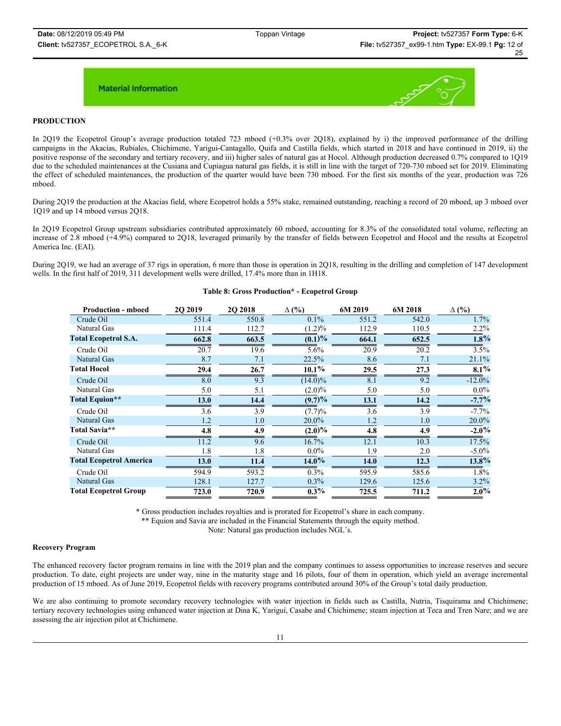

### **PRODUCTION**

In 2Q19 the Ecopetrol Group's average production totaled 723 mboed (+0.3% over 2Q18), explained by i) the improved performance of the drilling campaigns in the Akacias, Rubiales, Chichimene, Yarigui-Cantagallo, Quifa and Castilla fields, which started in 2018 and have continued in 2019, ii) the positive response of the secondary and tertiary recovery, and iii) higher sales of natural gas at Hocol. Although production decreased 0.7% compared to 1Q19 due to the scheduled maintenances at the Cusiana and Cupiagua natural gas fields, it is still in line with the target of 720-730 mboed set for 2019. Eliminating the effect of scheduled maintenances, the production of the quarter would have been 730 mboed. For the first six months of the year, production was 726 mboed.

During 2Q19 the production at the Akacias field, where Ecopetrol holds a 55% stake, remained outstanding, reaching a record of 20 mboed, up 3 mboed over 1Q19 and up 14 mboed versus 2Q18.

In 2Q19 Ecopetrol Group upstream subsidiaries contributed approximately 60 mboed, accounting for 8.3% of the consolidated total volume, reflecting an increase of 2.8 mboed (+4.9%) compared to 2Q18, leveraged primarily by the transfer of fields between Ecopetrol and Hocol and the results at Ecopetrol America Inc. (EAI).

During 2Q19, we had an average of 37 rigs in operation, 6 more than those in operation in 2Q18, resulting in the drilling and completion of 147 development wells. In the first half of 2019, 311 development wells were drilled, 17.4% more than in 1H18.

| <b>Production - mboed</b>      | 20 20 19 | <b>2O 2018</b> | $\Delta$ (%) | 6M 2019 | 6M 2018 | $\Delta$ (%) |
|--------------------------------|----------|----------------|--------------|---------|---------|--------------|
| Crude Oil                      | 551.4    | 550.8          | $0.1\%$      | 551.2   | 542.0   | 1.7%         |
| Natural Gas                    | 111.4    | 112.7          | $(1.2)\%$    | 112.9   | 110.5   | $2.2\%$      |
| <b>Total Ecopetrol S.A.</b>    | 662.8    | 663.5          | $(0.1)\%$    | 664.1   | 652.5   | 1.8%         |
| Crude Oil                      | 20.7     | 19.6           | 5.6%         | 20.9    | 20.2    | 3.5%         |
| Natural Gas                    | 8.7      | 7.1            | 22.5%        | 8.6     | 7.1     | 21.1%        |
| <b>Total Hocol</b>             | 29.4     | 26.7           | $10.1\%$     | 29.5    | 27.3    | 8.1%         |
| Crude Oil                      | 8.0      | 9.3            | $(14.0)\%$   | 8.1     | 9.2     | $-12.0%$     |
| Natural Gas                    | 5.0      | 5.1            | $(2.0)\%$    | 5.0     | 5.0     | $0.0\%$      |
| Total Equion**                 | 13.0     | 14.4           | $(9.7)\%$    | 13.1    | 14.2    | $-7.7%$      |
| Crude Oil                      | 3.6      | 3.9            | (7.7)%       | 3.6     | 3.9     | $-7.7%$      |
| Natural Gas                    | 1.2      | 1.0            | 20.0%        | 1.2     | 1.0     | 20.0%        |
| Total Savia**                  | 4.8      | 4.9            | $(2.0)\%$    | 4.8     | 4.9     | $-2.0\%$     |
| Crude Oil                      | 11.2     | 9.6            | 16.7%        | 12.1    | 10.3    | 17.5%        |
| Natural Gas                    | 1.8      | 1.8            | $0.0\%$      | 1.9     | 2.0     | $-5.0\%$     |
| <b>Total Ecopetrol America</b> | 13.0     | 11.4           | $14.0\%$     | 14.0    | 12.3    | $13.8\%$     |
| Crude Oil                      | 594.9    | 593.2          | 0.3%         | 595.9   | 585.6   | 1.8%         |
| Natural Gas                    | 128.1    | 127.7          | $0.3\%$      | 129.6   | 125.6   | 3.2%         |
| <b>Total Ecopetrol Group</b>   | 723.0    | 720.9          | $0.3\%$      | 725.5   | 711.2   | $2.0\%$      |

#### **Table 8: Gross Production\* - Ecopetrol Group**

\* Gross production includes royalties and is prorated for Ecopetrol's share in each company.

\*\* Equion and Savia are included in the Financial Statements through the equity method.

Note: Natural gas production includes NGL´s.

#### **Recovery Program**

The enhanced recovery factor program remains in line with the 2019 plan and the company continues to assess opportunities to increase reserves and secure production. To date, eight projects are under way, nine in the maturity stage and 16 pilots, four of them in operation, which yield an average incremental production of 15 mboed. As of June 2019, Ecopetrol fields with recovery programs contributed around 30% of the Group's total daily production.

We are also continuing to promote secondary recovery technologies with water injection in fields such as Castilla, Nutria, Tisquirama and Chichimene; tertiary recovery technologies using enhanced water injection at Dina K, Yariguí, Casabe and Chichimene; steam injection at Teca and Tren Nare; and we are assessing the air injection pilot at Chichimene.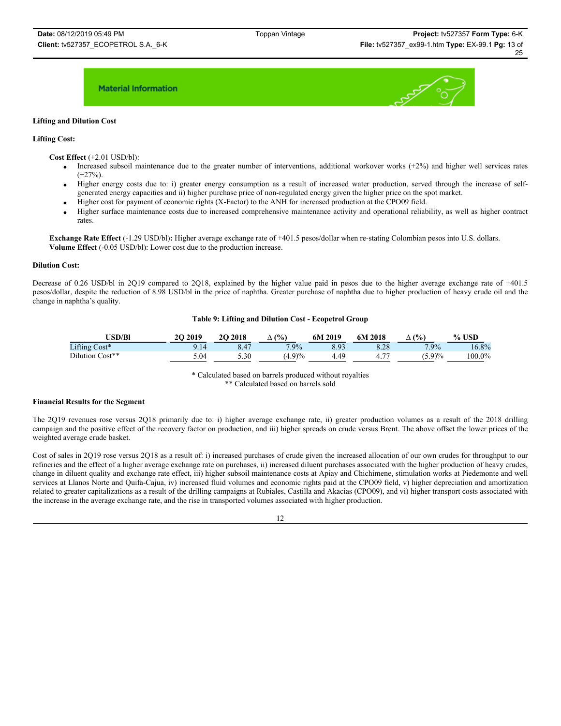

#### **Lifting and Dilution Cost**

#### **Lifting Cost:**

**Cost Effect** (+2.01 USD/bl):

- Increased subsoil maintenance due to the greater number of interventions, additional workover works  $(+2%)$  and higher well services rates  $(+27\%)$
- x Higher energy costs due to: i) greater energy consumption as a result of increased water production, served through the increase of selfgenerated energy capacities and ii) higher purchase price of non-regulated energy given the higher price on the spot market.
- Higher cost for payment of economic rights (X-Factor) to the ANH for increased production at the CPO09 field.
- Higher surface maintenance costs due to increased comprehensive maintenance activity and operational reliability, as well as higher contract rates.

**Exchange Rate Effect** (-1.29 USD/bl)**:** Higher average exchange rate of +401.5 pesos/dollar when re-stating Colombian pesos into U.S. dollars. **Volume Effect** (-0.05 USD/bl): Lower cost due to the production increase.

#### **Dilution Cost:**

Decrease of 0.26 USD/bl in 2Q19 compared to 2Q18, explained by the higher value paid in pesos due to the higher average exchange rate of +401.5 pesos/dollar, despite the reduction of 8.98 USD/bl in the price of naphtha. Greater purchase of naphtha due to higher production of heavy crude oil and the change in naphtha's quality.

#### **Table 9: Lifting and Dilution Cost - Ecopetrol Group**

| <b>ISD/Bl</b>   | <b>2O 2019</b> | <b>2O 2018</b> | $\frac{(0)}{0}$<br>Δ | 2019<br>6М | 6M 2018 | (%      | , USD<br>$\frac{0}{0}$ . |
|-----------------|----------------|----------------|----------------------|------------|---------|---------|--------------------------|
| Lifting Cost*   |                |                | 7.9%                 | 2 O 2      | 8.28    | $7.9\%$ | 16.8%                    |
| Dilution Cost** | 5.04           | 5.30           | $(4.9)\%$            | 49.        |         | (5.9)%  | $100.0\%$                |

#### \* Calculated based on barrels produced without royalties \*\* Calculated based on barrels sold

#### **Financial Results for the Segment**

The 2Q19 revenues rose versus 2Q18 primarily due to: i) higher average exchange rate, ii) greater production volumes as a result of the 2018 drilling campaign and the positive effect of the recovery factor on production, and iii) higher spreads on crude versus Brent. The above offset the lower prices of the weighted average crude basket.

Cost of sales in 2Q19 rose versus 2Q18 as a result of: i) increased purchases of crude given the increased allocation of our own crudes for throughput to our refineries and the effect of a higher average exchange rate on purchases, ii) increased diluent purchases associated with the higher production of heavy crudes, change in diluent quality and exchange rate effect, iii) higher subsoil maintenance costs at Apiay and Chichimene, stimulation works at Piedemonte and well services at Llanos Norte and Quifa-Cajua, iv) increased fluid volumes and economic rights paid at the CPO09 field, v) higher depreciation and amortization related to greater capitalizations as a result of the drilling campaigns at Rubiales, Castilla and Akacias (CPO09), and vi) higher transport costs associated with the increase in the average exchange rate, and the rise in transported volumes associated with higher production.

#### 12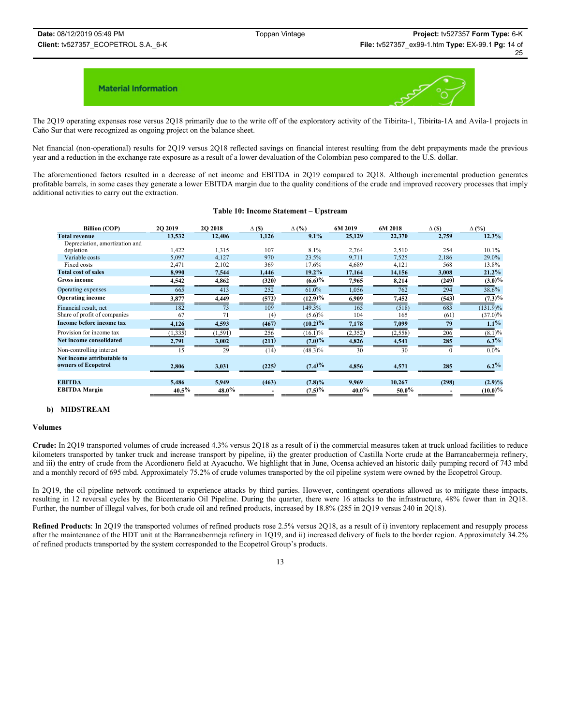

The 2Q19 operating expenses rose versus 2Q18 primarily due to the write off of the exploratory activity of the Tibirita-1, Tibirita-1A and Avila-1 projects in Caño Sur that were recognized as ongoing project on the balance sheet.

Net financial (non-operational) results for 2Q19 versus 2Q18 reflected savings on financial interest resulting from the debt prepayments made the previous year and a reduction in the exchange rate exposure as a result of a lower devaluation of the Colombian peso compared to the U.S. dollar.

The aforementioned factors resulted in a decrease of net income and EBITDA in 2Q19 compared to 2Q18. Although incremental production generates profitable barrels, in some cases they generate a lower EBITDA margin due to the quality conditions of the crude and improved recovery processes that imply additional activities to carry out the extraction.

| <b>Billion (COP)</b>    | <b>2O 2019</b> | 20 20 18 | $\Delta$ (\$) | $\Delta$ (%) | 6M 2019 | 6M 2018 | $\Delta$ (S) | $\Delta$ (%) |
|-------------------------|----------------|----------|---------------|--------------|---------|---------|--------------|--------------|
| enue                    | 13.532         | 12,406   | 1.126         | 9.1%         | 25,129  | 22,370  | 2.759        |              |
| ation, amortization and |                |          |               |              |         |         |              |              |
| m                       | .422           | 1.315    | 107           | 8.1%         | 2.764   | 2.510   | 254          |              |
| e costs                 | 5,097          | 4.127    | 970           | 23.5%        | 9.711   | 7.525   | 2.186        |              |

#### **Table 10: Income Statement – Upstream**

| <b>Total revenue</b>           | 13,532   | 12,406           | 1,126            | 9.1%       | 25,129   | 22,370   | 2,759    | 12.3%                  |
|--------------------------------|----------|------------------|------------------|------------|----------|----------|----------|------------------------|
| Depreciation, amortization and |          |                  |                  |            |          |          |          |                        |
| depletion                      | 1,422    | 1,315            | 107              | 8.1%       | 2,764    | 2,510    | 254      | 10.1%                  |
| Variable costs                 | 5,097    | 4,127            | 970              | 23.5%      | 9,711    | 7,525    | 2,186    | 29.0%                  |
| Fixed costs                    | 2,471    | 2,102            | 369              | 17.6%      | 4,689    | 4,121    | 568      | 13.8%                  |
| <b>Total cost of sales</b>     | 8,990    | 7,544            | 1,446            | $19.2\%$   | 17,164   | 14,156   | 3,008    | 21.2%                  |
| <b>Gross income</b>            | 4,542    | 4,862            | (320)            | $(6.6)$ %  | 7,965    | 8,214    | (249)    | $(3.0)\%$              |
| Operating expenses             | 665      | $\overline{413}$ | $\overline{252}$ | 61.0%      | 1,056    | 762      | 294      | 38.6%                  |
| <b>Operating income</b>        | 3,877    | 4,449            | (572)            | (12.9)%    | 6,909    | 7,452    | (543)    | $(7.3)\%$              |
| Financial result, net          | 182      | 73               | 109              | 149.3%     | 165      | (518)    | 683      | $\overline{(131.9)}\%$ |
| Share of profit of companies   | 67       | 71               | $^{(4)}$         | $(5.6)\%$  | 104      | 165      | (61)     | $(37.0)\%$             |
| Income before income tax       | 4,126    | 4,593            | (467)            | $(10.2)\%$ | 7,178    | 7,099    | 79       | $1.1\%$                |
| Provision for income tax       | (1, 335) | (1, 591)         | 256              | (16.1)%    | (2,352)  | (2, 558) | 206      | (8.1)%                 |
| Net income consolidated        | 2,791    | 3,002            | (211)            | $(7.0)\%$  | 4,826    | 4,541    | 285      | $6.3\%$                |
| Non-controlling interest       | 15       | 29               | (14)             | $(48.3)\%$ | 30       | 30       | $\Omega$ | $0.0\%$                |
| Net income attributable to     |          |                  |                  |            |          |          |          |                        |
| owners of Ecopetrol            | 2,806    | 3,031            | (225)            | (7.4)%     | 4,856    | 4,571    | 285      | $6.2\%$                |
|                                |          |                  |                  |            |          |          |          |                        |
| <b>EBITDA</b>                  | 5,486    | 5,949            | (463)            | (7.8)%     | 9,969    | 10,267   | (298)    | $(2.9)\%$              |
| <b>EBITDA</b> Margin           | $40.5\%$ | $48.0\%$         |                  | (7.5)%     | $40.0\%$ | $50.0\%$ |          | (10.0)%                |

### **b) MIDSTREAM**

#### **Volumes**

**Crude:** In 2Q19 transported volumes of crude increased 4.3% versus 2Q18 as a result of i) the commercial measures taken at truck unload facilities to reduce kilometers transported by tanker truck and increase transport by pipeline, ii) the greater production of Castilla Norte crude at the Barrancabermeja refinery, and iii) the entry of crude from the Acordionero field at Ayacucho. We highlight that in June, Ocensa achieved an historic daily pumping record of 743 mbd and a monthly record of 695 mbd. Approximately 75.2% of crude volumes transported by the oil pipeline system were owned by the Ecopetrol Group.

In 2Q19, the oil pipeline network continued to experience attacks by third parties. However, contingent operations allowed us to mitigate these impacts, resulting in 12 reversal cycles by the Bicentenario Oil Pipeline. During the quarter, there were 16 attacks to the infrastructure, 48% fewer than in 2Q18. Further, the number of illegal valves, for both crude oil and refined products, increased by 18.8% (285 in 2Q19 versus 240 in 2Q18).

**Refined Products**: In 2Q19 the transported volumes of refined products rose 2.5% versus 2Q18, as a result of i) inventory replacement and resupply process after the maintenance of the HDT unit at the Barrancabermeja refinery in 1Q19, and ii) increased delivery of fuels to the border region. Approximately 34.2% of refined products transported by the system corresponded to the Ecopetrol Group's products.

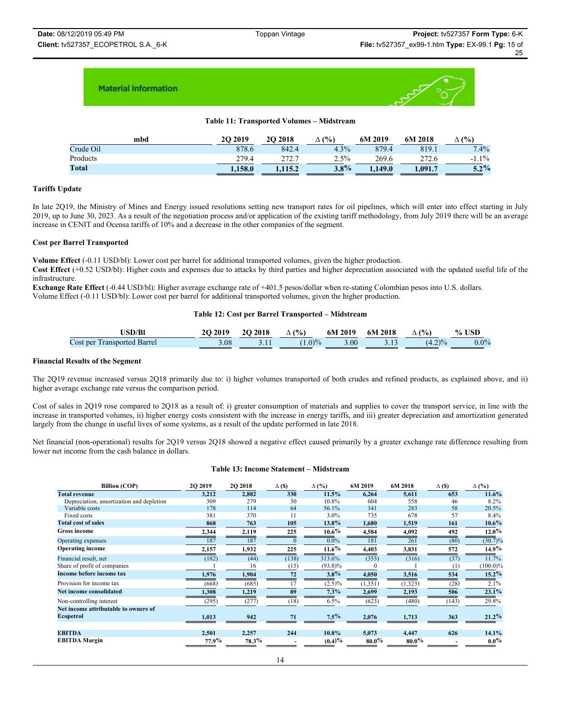

### **Table 11: Transported Volumes – Midstream**

| mbd       | 20 20 19 | <b>2O 2018</b> | (%)<br>Δ | 6M 2019 | 6M 2018 | (9/0)    |
|-----------|----------|----------------|----------|---------|---------|----------|
| Crude Oil | 878.6    | 842.4          | 4.3%     | 879.4   | 819.1   | 7.4%     |
| Products  | 279.4    | ר ררר          | 2.5%     | 269.6   | 272.6   | $-1.1\%$ |
| Total     | 1.158.0  | 1.115.2        | $3.8\%$  | 1.149.0 | 1,091.7 | $5.2\%$  |

#### **Tariffs Update**

In late 2Q19, the Ministry of Mines and Energy issued resolutions setting new transport rates for oil pipelines, which will enter into effect starting in July 2019, up to June 30, 2023. As a result of the negotiation process and/or application of the existing tariff methodology, from July 2019 there will be an average increase in CENIT and Ocensa tariffs of 10% and a decrease in the other companies of the segment.

#### **Cost per Barrel Transported**

**Volume Effect** (-0.11 USD/bl): Lower cost per barrel for additional transported volumes, given the higher production.

**Cost Effect** (+0.52 USD/bl): Higher costs and expenses due to attacks by third parties and higher depreciation associated with the updated useful life of the infrastructure.

**Exchange Rate Effect** (-0.44 USD/bl): Higher average exchange rate of +401.5 pesos/dollar when re-stating Colombian pesos into U.S. dollars. Volume Effect (-0.11 USD/bl): Lower cost per barrel for additional transported volumes, given the higher production.

#### **Table 12: Cost per Barrel Transported – Midstream**

| <b>JSD/Bl</b>                      | 20 20 19 | <b>20 2018</b> | $\Delta$ (%) | $6M 2019$ $6M 2018$ | $\Delta$ (%) | $%$ USD |
|------------------------------------|----------|----------------|--------------|---------------------|--------------|---------|
| <b>Cost per Transported Barrel</b> | 3.08.    |                | $(1.0)\%$    | 3.00                | $(4.2)\%$    | $0.0\%$ |

#### **Financial Results of the Segment**

The 2Q19 revenue increased versus 2Q18 primarily due to: i) higher volumes transported of both crudes and refined products, as explained above, and ii) higher average exchange rate versus the comparison period.

Cost of sales in 2Q19 rose compared to 2Q18 as a result of: i) greater consumption of materials and supplies to cover the transport service, in line with the increase in transported volumes, ii) higher energy costs consistent with the increase in energy tariffs, and iii) greater depreciation and amortization generated largely from the change in useful lives of some systems, as a result of the update performed in late 2018.

Net financial (non-operational) results for 2Q19 versus 2Q18 showed a negative effect caused primarily by a greater exchange rate difference resulting from lower net income from the cash balance in dollars.

#### **Table 13: Income Statement – Midstream**

| <b>Billion</b> (COP)                     | <b>2O 2019</b> | <b>2O 2018</b> | $\Delta$ (\$) | $\Delta$ (%) | 6M 2019  | 6M 2018  | $\Delta$ (\$) | $\Delta$ (%) |
|------------------------------------------|----------------|----------------|---------------|--------------|----------|----------|---------------|--------------|
| <b>Total revenue</b>                     | 3,212          | 2,882          | 330           | 11.5%        | 6,264    | 5,611    | 653           | 11.6%        |
| Depreciation, amortization and depletion | 309            | 279            | 30            | 10.8%        | 604      | 558      | 46            | 8.2%         |
| Variable costs                           | 178            | 114            | 64            | 56.1%        | 341      | 283      | 58            | 20.5%        |
| Fixed costs                              | 381            | 370            | 11            | 3.0%         | 735      | 678      | 57            | 8.4%         |
| <b>Total cost of sales</b>               | 868            | 763            | 105           | 13.8%        | 1,680    | 1,519    | 161           | $10.6\%$     |
| <b>Gross income</b>                      | 2,344          | 2,119          | 225           | $10.6\%$     | 4,584    | 4,092    | 492           | $12.0\%$     |
| Operating expenses                       | 187            | 187            |               | $0.0\%$      | 181      | 261      | (80)          | $(30.7)\%$   |
| <b>Operating income</b>                  | 2,157          | 1,932          | 225           | $11.6\%$     | 4,403    | 3,831    | 572           | 14.9%        |
| Financial result, net                    | (182)          | (44)           | (138)         | 313.6%       | (353)    | (316)    | (37)          | 11.7%        |
| Share of profit of companies             |                | 16             | (15)          | $(93.8)\%$   |          |          | (1)           | $(100.0)\%$  |
| Income before income tax                 | 1,976          | 1,904          | 72            | $3.8\%$      | 4,050    | 3,516    | 534           | $15.2\%$     |
| Provision for income tax                 | (668)          | (685)          | 17            | $(2.5)\%$    | (1,351)  | (1, 323) | (28)          | 2.1%         |
| <b>Net income consolidated</b>           | 1,308          | 1,219          | 89            | $7.3\%$      | 2,699    | 2,193    | 506           | 23.1%        |
| Non-controlling interest                 | (295)          | (277)          | (18)          | $6.5\%$      | (623)    | (480)    | (143)         | 29.8%        |
| Net income attributable to owners of     |                |                |               |              |          |          |               |              |
| Ecopetrol                                | 1,013          | 942            | 71            | $7.5\%$      | 2,076    | 1,713    | 363           | 21.2%        |
| <b>EBITDA</b>                            | 2,501          | 2,257          | 244           | 10.8%        | 5,073    | 4,447    | 626           | 14.1%        |
| <b>EBITDA</b> Margin                     | 77.9%          | $78.3\%$       |               | (0.4)%       | $80.0\%$ | $80.0\%$ |               | $0.0\%$      |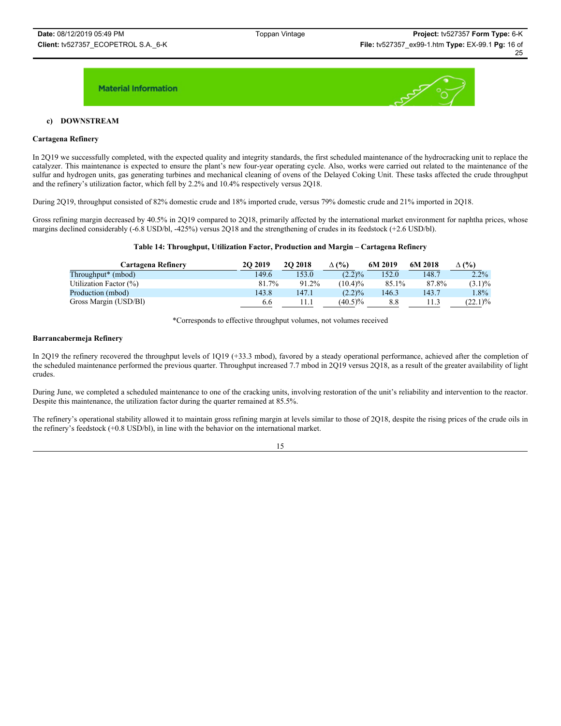

### **c) DOWNSTREAM**

#### **Cartagena Refinery**

In 2Q19 we successfully completed, with the expected quality and integrity standards, the first scheduled maintenance of the hydrocracking unit to replace the catalyzer. This maintenance is expected to ensure the plant's new four-year operating cycle. Also, works were carried out related to the maintenance of the sulfur and hydrogen units, gas generating turbines and mechanical cleaning of ovens of the Delayed Coking Unit. These tasks affected the crude throughput and the refinery's utilization factor, which fell by 2.2% and 10.4% respectively versus 2Q18.

During 2Q19, throughput consisted of 82% domestic crude and 18% imported crude, versus 79% domestic crude and 21% imported in 2Q18.

Gross refining margin decreased by 40.5% in 2Q19 compared to 2Q18, primarily affected by the international market environment for naphtha prices, whose margins declined considerably (-6.8 USD/bl, -425%) versus 2Q18 and the strengthening of crudes in its feedstock (+2.6 USD/bl).

#### **Table 14: Throughput, Utilization Factor, Production and Margin – Cartagena Refinery**

| Cartagena Refinerv             | <b>2O 2019</b> | <b>2O 2018</b> | $\Delta$ (%) | 6M 2019 | 6M 2018 | $\Delta$ (%) |
|--------------------------------|----------------|----------------|--------------|---------|---------|--------------|
| Throughput <sup>*</sup> (mbod) | 149.6          | 153.0          | $(2.2)\%$    | 152.0   | 148.7   | $2.2\%$      |
| Utilization Factor (%)         | 81.7%          | 91.2%          | $(10.4)\%$   | 85.1%   | 87.8%   | $(3.1)\%$    |
| Production (mbod)              | 143.8          | 147.1          | $(2.2)\%$    | 146.3   | 143.7   | $1.8\%$      |
| Gross Margin (USD/BI)          | 6.6            | l 1.1          | $(40.5)\%$   | 8.8     | 1.3     | (22.1)%      |

\*Corresponds to effective throughput volumes, not volumes received

#### **Barrancabermeja Refinery**

In 2Q19 the refinery recovered the throughput levels of 1Q19 (+33.3 mbod), favored by a steady operational performance, achieved after the completion of the scheduled maintenance performed the previous quarter. Throughput increased 7.7 mbod in 2Q19 versus 2Q18, as a result of the greater availability of light crudes.

During June, we completed a scheduled maintenance to one of the cracking units, involving restoration of the unit's reliability and intervention to the reactor. Despite this maintenance, the utilization factor during the quarter remained at 85.5%.

The refinery's operational stability allowed it to maintain gross refining margin at levels similar to those of 2Q18, despite the rising prices of the crude oils in the refinery's feedstock (+0.8 USD/bl), in line with the behavior on the international market.

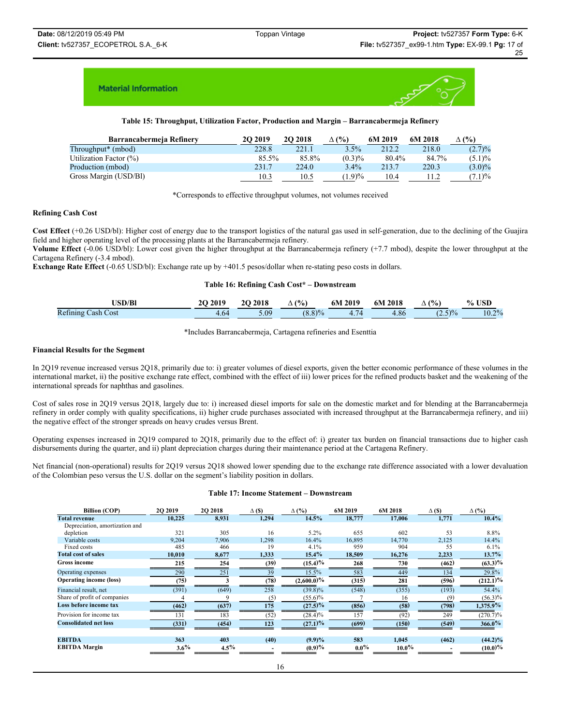

**Table 15: Throughput, Utilization Factor, Production and Margin – Barrancabermeja Refinery**

| Barrancabermeja Refinery       | 20 20 19 | <b>2O 2018</b> | $\Delta$ (%) | 6M 2019 | 6M 2018 | $\Delta$ (%) |
|--------------------------------|----------|----------------|--------------|---------|---------|--------------|
| Throughput <sup>*</sup> (mbod) | 228.8    | 221.1          | 3.5%         | 212.2   | 218.0   | $(2.7)\%$    |
| Utilization Factor (%)         | 85.5%    | 85.8%          | $(0.3)\%$    | 80.4%   | 84.7%   | $(5.1)\%$    |
| Production (mbod)              | 231.7    | 224.0          | $3.4\%$      | 213.7   | 220.3   | $(3.0)\%$    |
| Gross Margin (USD/BI)          | 10.3     | 10.5           | $1.9\%$      | 10.4    |         | $(7.1)\%$    |

\*Corresponds to effective throughput volumes, not volumes received

#### **Refining Cash Cost**

**Cost Effect** (+0.26 USD/bl): Higher cost of energy due to the transport logistics of the natural gas used in self-generation, due to the declining of the Guajira field and higher operating level of the processing plants at the Barrancabermeja refinery.

**Volume Effect** (-0.06 USD/bl): Lower cost given the higher throughput at the Barrancabermeja refinery (+7.7 mbod), despite the lower throughput at the Cartagena Refinery (-3.4 mbod).

**Exchange Rate Effect** (-0.65 USD/bl): Exchange rate up by +401.5 pesos/dollar when re-stating peso costs in dollars.

#### **Table 16: Refining Cash Cost\* – Downstream**

| <b>JSD/BI</b>             | 20 20 19 | 20 20 18 | $\Delta$ (%) | 6M 2019 | 6M 2018 | (%)       | % USD |
|---------------------------|----------|----------|--------------|---------|---------|-----------|-------|
| <b>Refining Cash Cost</b> | 4.64     | 5.09     | $(8.8)\%$    |         | 4.86    | $(2.5)\%$ | 10.2% |

\*Includes Barrancabermeja, Cartagena refineries and Esenttia

#### **Financial Results for the Segment**

In 2Q19 revenue increased versus 2Q18, primarily due to: i) greater volumes of diesel exports, given the better economic performance of these volumes in the international market, ii) the positive exchange rate effect, combined with the effect of iii) lower prices for the refined products basket and the weakening of the international spreads for naphthas and gasolines.

Cost of sales rose in 2Q19 versus 2Q18, largely due to: i) increased diesel imports for sale on the domestic market and for blending at the Barrancabermeja refinery in order comply with quality specifications, ii) higher crude purchases associated with increased throughput at the Barrancabermeja refinery, and iii) the negative effect of the stronger spreads on heavy crudes versus Brent.

Operating expenses increased in 2Q19 compared to 2Q18, primarily due to the effect of: i) greater tax burden on financial transactions due to higher cash disbursements during the quarter, and ii) plant depreciation charges during their maintenance period at the Cartagena Refinery.

Net financial (non-operational) results for 2Q19 versus 2Q18 showed lower spending due to the exchange rate difference associated with a lower devaluation of the Colombian peso versus the U.S. dollar on the segment's liability position in dollars.

#### **Table 17: Income Statement – Downstream**

| <b>Billion (COP)</b>           | 2Q 2019 | 2Q 2018 | $\Delta$ (\$) | $\Delta$ (%)  | 6M 2019 | 6M 2018  | $\Delta$ (\$) | $\Delta$ (%)   |
|--------------------------------|---------|---------|---------------|---------------|---------|----------|---------------|----------------|
| <b>Total revenue</b>           | 10.225  | 8,931   | 1,294         | 14.5%         | 18,777  | 17.006   | 1,771         | 10.4%          |
| Depreciation, amortization and |         |         |               |               |         |          |               |                |
| depletion                      | 321     | 305     | 16            | $5.2\%$       | 655     | 602      | 53            | 8.8%           |
| Variable costs                 | 9.204   | 7,906   | 1,298         | 16.4%         | 16,895  | 14,770   | 2,125         | 14.4%          |
| Fixed costs                    | 485     | 466     | 19            | 4.1%          | 959     | 904      | 55            | 6.1%           |
| <b>Total cost of sales</b>     | 10,010  | 8,677   | 1,333         | 15.4%         | 18,509  | 16,276   | 2,233         | 13.7%          |
| <b>Gross income</b>            | 215     | 254     | (39)          | $(15.4)$ %    | 268     | 730      | (462)         | $(63.3)^{0/6}$ |
| Operating expenses             | 290     | 251     | 39            | 15.5%         | 583     | 449      | 134           | 29.8%          |
| <b>Operating income (loss)</b> | (75)    |         | (78)          | $(2,600.0)\%$ | (315)   | 281      | (596)         | $(212.1)$ %    |
| Financial result, net          | (391)   | (649)   | 258           | $(39.8)\%$    | (548)   | (355)    | (193)         | 54.4%          |
| Share of profit of companies   |         |         | 15.           | $(55.6)\%$    |         | 16       | (9            | $(56.3)\%$     |
| Loss before income tax         | (462)   | (637)   | 175           | $(27.5)\%$    | (856)   | (58)     | (798)         | 1,375.9%       |
| Provision for income tax       | 131     | 183     | (52)          | $(28.4)\%$    | 157     | (92)     | 249           | (270.7)%       |
| <b>Consolidated net loss</b>   | (331)   | (454)   | 123           | $(27.1)$ %    | (699)   | (150)    | (549)         | $366.0\%$      |
|                                | 363     |         |               |               | 583     |          |               |                |
| <b>EBITDA</b>                  |         | 403     | (40)          | $(9.9)\%$     |         | 1,045    | (462)         | $(44.2)\%$     |
| <b>EBITDA</b> Margin           | $3.6\%$ | $4.5\%$ |               | (0.9)%        | $0.0\%$ | $10.0\%$ |               | $(10.0)\%$     |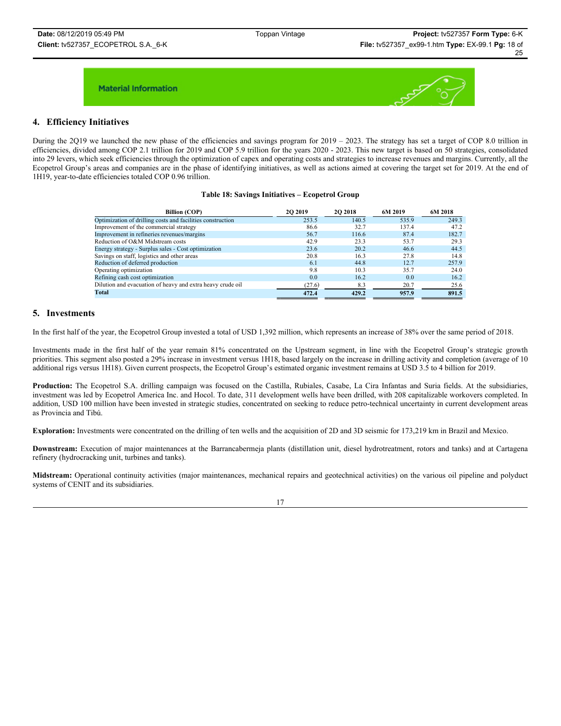

### **4. Efficiency Initiatives**

During the 2Q19 we launched the new phase of the efficiencies and savings program for  $2019 - 2023$ . The strategy has set a target of COP 8.0 trillion in efficiencies, divided among COP 2.1 trillion for 2019 and COP 5.9 trillion for the years 2020 - 2023. This new target is based on 50 strategies, consolidated into 29 levers, which seek efficiencies through the optimization of capex and operating costs and strategies to increase revenues and margins. Currently, all the Ecopetrol Group's areas and companies are in the phase of identifying initiatives, as well as actions aimed at covering the target set for 2019. At the end of 1H19, year-to-date efficiencies totaled COP 0.96 trillion.

#### **Table 18: Savings Initiatives – Ecopetrol Group**

| <b>Billion (COP)</b>                                       | <b>2O 2019</b> | <b>2O 2018</b> | 6M 2019 | 6M 2018 |
|------------------------------------------------------------|----------------|----------------|---------|---------|
| Optimization of drilling costs and facilities construction | 253.5          | 140.5          | 535.9   | 249.3   |
| Improvement of the commercial strategy                     | 86.6           | 32.7           | 137.4   | 47.2    |
| Improvement in refineries revenues/margins                 | 56.7           | 116.6          | 87.4    | 182.7   |
| Reduction of O&M Midstream costs                           | 42.9           | 23.3           | 53.7    | 29.3    |
| Energy strategy - Surplus sales - Cost optimization        | 23.6           | 20.2           | 46.6    | 44.5    |
| Savings on staff, logistics and other areas                | 20.8           | 16.3           | 27.8    | 14.8    |
| Reduction of deferred production                           | 6.1            | 44.8           | 12.7    | 257.9   |
| Operating optimization                                     | 9.8            | 10.3           | 35.7    | 24.0    |
| Refining cash cost optimization                            | 0.0            | 16.2           | 0.0     | 16.2    |
| Dilution and evacuation of heavy and extra heavy crude oil | (27.6)         | 8.3            | 20.7    | 25.6    |
| <b>Total</b>                                               | 472.4          | 429.2          | 957.9   | 891.5   |

### **5. Investments**

In the first half of the year, the Ecopetrol Group invested a total of USD 1,392 million, which represents an increase of 38% over the same period of 2018.

Investments made in the first half of the year remain 81% concentrated on the Upstream segment, in line with the Ecopetrol Group's strategic growth priorities. This segment also posted a 29% increase in investment versus 1H18, based largely on the increase in drilling activity and completion (average of 10 additional rigs versus 1H18). Given current prospects, the Ecopetrol Group's estimated organic investment remains at USD 3.5 to 4 billion for 2019.

**Production:** The Ecopetrol S.A. drilling campaign was focused on the Castilla, Rubiales, Casabe, La Cira Infantas and Suria fields. At the subsidiaries, investment was led by Ecopetrol America Inc. and Hocol. To date, 311 development wells have been drilled, with 208 capitalizable workovers completed. In addition, USD 100 million have been invested in strategic studies, concentrated on seeking to reduce petro-technical uncertainty in current development areas as Provincia and Tibú.

**Exploration:** Investments were concentrated on the drilling of ten wells and the acquisition of 2D and 3D seismic for 173,219 km in Brazil and Mexico.

**Downstream:** Execution of major maintenances at the Barrancabermeja plants (distillation unit, diesel hydrotreatment, rotors and tanks) and at Cartagena refinery (hydrocracking unit, turbines and tanks).

**Midstream:** Operational continuity activities (major maintenances, mechanical repairs and geotechnical activities) on the various oil pipeline and polyduct systems of CENIT and its subsidiaries.

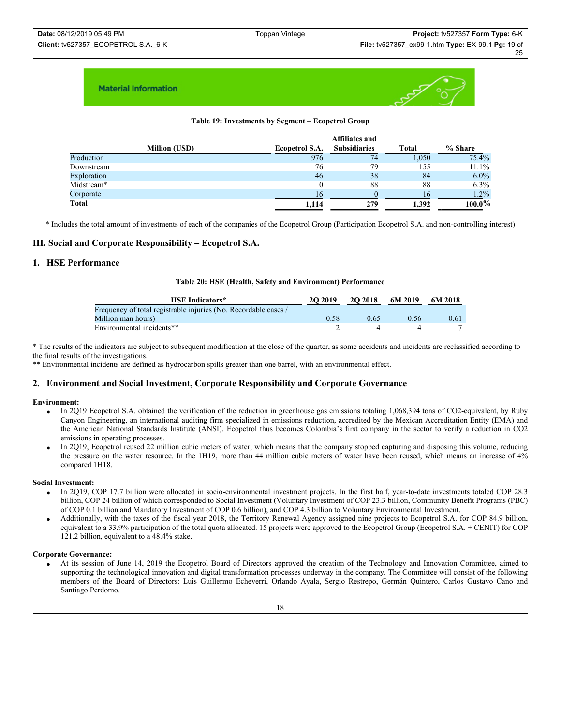

### **Table 19: Investments by Segment – Ecopetrol Group**

|                      | <b>Affiliates and</b> |                     |       |           |  |  |  |
|----------------------|-----------------------|---------------------|-------|-----------|--|--|--|
| <b>Million (USD)</b> | Ecopetrol S.A.        | <b>Subsidiaries</b> | Total | % Share   |  |  |  |
| Production           | 976                   | 74                  | 1.050 | 75.4%     |  |  |  |
| Downstream           | 76                    | 79                  | 155   | 11.1%     |  |  |  |
| Exploration          | 46                    | 38                  | 84    | $6.0\%$   |  |  |  |
| Midstream*           | U                     | 88                  | 88    | 6.3%      |  |  |  |
| Corporate            | 16                    | $\theta$            | 16    | $1.2\%$   |  |  |  |
| Total                | 1.114                 | 279                 | 1.392 | $100.0\%$ |  |  |  |

\* Includes the total amount of investments of each of the companies of the Ecopetrol Group (Participation Ecopetrol S.A. and non-controlling interest)

### **III. Social and Corporate Responsibility – Ecopetrol S.A.**

### **1. HSE Performance**

#### **Table 20: HSE (Health, Safety and Environment) Performance**

| <b>HSE Indicators*</b>                                          | 20 20 19 | <b>2O 2018</b> | 6M 2019 | 6M 2018 |
|-----------------------------------------------------------------|----------|----------------|---------|---------|
| Frequency of total registrable injuries (No. Recordable cases / |          |                |         |         |
| Million man hours)                                              | 0.58     | 0.65           | 0.56    | 0.61    |
| Environmental incidents**                                       |          |                |         |         |

\* The results of the indicators are subject to subsequent modification at the close of the quarter, as some accidents and incidents are reclassified according to the final results of the investigations.

\*\* Environmental incidents are defined as hydrocarbon spills greater than one barrel, with an environmental effect.

### **2. Environment and Social Investment, Corporate Responsibility and Corporate Governance**

#### **Environment:**

- In 2Q19 Ecopetrol S.A. obtained the verification of the reduction in greenhouse gas emissions totaling 1,068,394 tons of CO2-equivalent, by Ruby Canyon Engineering, an international auditing firm specialized in emissions reduction, accredited by the Mexican Accreditation Entity (EMA) and the American National Standards Institute (ANSI). Ecopetrol thus becomes Colombia's first company in the sector to verify a reduction in CO2 emissions in operating processes.
- In 2Q19, Ecopetrol reused 22 million cubic meters of water, which means that the company stopped capturing and disposing this volume, reducing the pressure on the water resource. In the 1H19, more than 44 million cubic meters of water have been reused, which means an increase of 4% compared 1H18.

#### **Social Investment:**

- In 2Q19, COP 17.7 billion were allocated in socio-environmental investment projects. In the first half, year-to-date investments totaled COP 28.3 billion, COP 24 billion of which corresponded to Social Investment (Voluntary Investment of COP 23.3 billion, Community Benefit Programs (PBC) of COP 0.1 billion and Mandatory Investment of COP 0.6 billion), and COP 4.3 billion to Voluntary Environmental Investment.
- x Additionally, with the taxes of the fiscal year 2018, the Territory Renewal Agency assigned nine projects to Ecopetrol S.A. for COP 84.9 billion, equivalent to a 33.9% participation of the total quota allocated. 15 projects were approved to the Ecopetrol Group (Ecopetrol S.A. + CENIT) for COP 121.2 billion, equivalent to a 48.4% stake.

#### **Corporate Governance:**

x At its session of June 14, 2019 the Ecopetrol Board of Directors approved the creation of the Technology and Innovation Committee, aimed to supporting the technological innovation and digital transformation processes underway in the company. The Committee will consist of the following members of the Board of Directors: Luis Guillermo Echeverri, Orlando Ayala, Sergio Restrepo, Germán Quintero, Carlos Gustavo Cano and Santiago Perdomo.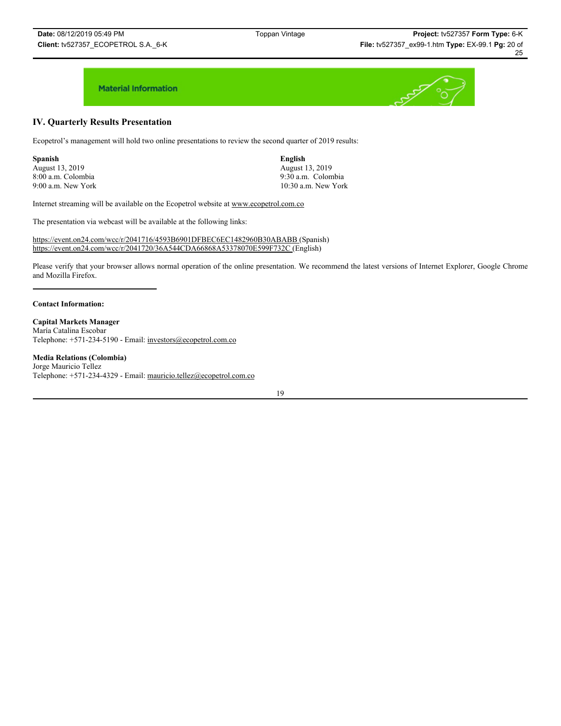# **IV. Quarterly Results Presentation**

Ecopetrol's management will hold two online presentations to review the second quarter of 2019 results:

**Spanish English** August 13, 2019<br>
8:00 a.m. Colombia<br>
9:30 a.m. Colombia

8:00 a.m. Colombia 9:30 a.m. Colombia 9:00 a.m. New York 10:30 a.m. New York

Internet streaming will be available on the Ecopetrol website at www.ecopetrol.com.co

The presentation via webcast will be available at the following links:

https://event.on24.com/wcc/r/2041716/4593B6901DFBEC6EC1482960B30ABABB (Spanish) https://event.on24.com/wcc/r/2041720/36A544CDA66868A53378070E599F732C (English)

Please verify that your browser allows normal operation of the online presentation. We recommend the latest versions of Internet Explorer, Google Chrome and Mozilla Firefox.

#### **Contact Information:**

**Capital Markets Manager** María Catalina Escobar Telephone: +571-234-5190 - Email: investors@ecopetrol.com.co

#### **Media Relations (Colombia)**

Jorge Mauricio Tellez Telephone: +571-234-4329 - Email: mauricio.tellez@ecopetrol.com.co

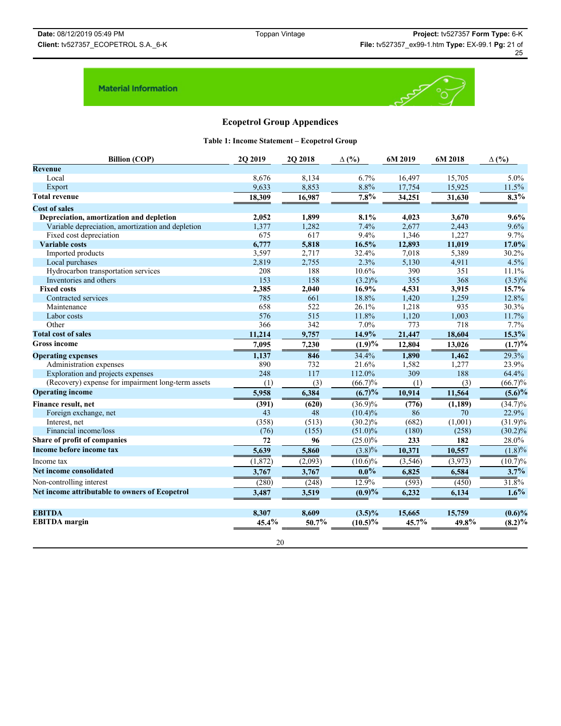

# **Ecopetrol Group Appendices**

**Table 1: Income Statement – Ecopetrol Group**

| <b>Revenue</b><br>Local<br>8,676<br>8,134<br>6.7%<br>16,497<br>15,705<br>5.0%<br>8.8%<br>11.5%<br>Export<br>9,633<br>8,853<br>17,754<br>15,925<br>7.8%<br>$8.3\%$<br><b>Total revenue</b><br>18,309<br>16,987<br>34,251<br>31,630<br><b>Cost of sales</b><br>1,899<br>4,023<br>Depreciation, amortization and depletion<br>2,052<br>8.1%<br>3,670<br>9.6%<br>2,677<br>Variable depreciation, amortization and depletion<br>1,377<br>1,282<br>7.4%<br>9.6%<br>2,443<br>675<br>617<br>9.4%<br>1,346<br>1,227<br>9.7%<br>Fixed cost depreciation<br>6,777<br>16.5%<br>12,893<br>17.0%<br><b>Variable costs</b><br>5,818<br>11,019<br>3,597<br>2,717<br>Imported products<br>32.4%<br>7,018<br>5,389<br>30.2%<br>2.3%<br>4.5%<br>Local purchases<br>2,819<br>2,755<br>5,130<br>4,911<br>390<br>Hydrocarbon transportation services<br>208<br>188<br>10.6%<br>351<br>11.1%<br>153<br>158<br>$(3.2)\%$<br>355<br>368<br>Inventories and others<br>2,385<br>16.9%<br><b>Fixed costs</b><br>2,040<br>4,531<br>3,915<br>15.7%<br>18.8%<br>785<br>661<br>1,420<br>1,259<br>12.8%<br>Contracted services<br>658<br>30.3%<br>522<br>26.1%<br>1,218<br>935<br>Maintenance<br>576<br>515<br>11.8%<br>1,120<br>1,003<br>11.7%<br>Labor costs<br>366<br>342<br>7.0%<br>773<br>718<br>Other<br>7.7%<br><b>Total cost of sales</b><br>11,214<br>9,757<br>14.9%<br>21,447<br>18,604<br>15.3%<br>$(1.9)\%$<br><b>Gross income</b><br>7,095<br>12,804<br>13,026<br>7,230<br>846<br>34.4%<br>1,890<br>1,462<br>29.3%<br>1,137<br><b>Operating expenses</b><br>890<br>23.9%<br>732<br>21.6%<br>1,582<br>1,277<br>Administration expenses<br>309<br>248<br>188<br>117<br>112.0%<br>64.4%<br>Exploration and projects expenses<br>(Recovery) expense for impairment long-term assets<br>(3)<br>$(66.7)\%$<br>(1)<br>(1)<br>(3)<br><b>Operating income</b><br>(6.7)%<br>6,384<br>10,914<br>5,958<br>11,564<br>(620)<br>$(36.9)\%$<br>(776)<br>(1, 189)<br>Finance result, net<br>(391)<br>$(34.7)\%$<br>43<br>22.9%<br>48<br>Foreign exchange, net<br>$(10.4)\%$<br>86<br>70<br>Interest, net<br>(358)<br>(513)<br>$(30.2)\%$<br>(682)<br>(1,001)<br>Financial income/loss<br>(76)<br>(155)<br>$(51.0)\%$<br>(180)<br>(258)<br>Share of profit of companies<br>$(25.0)\%$<br>233<br>182<br>28.0%<br>72<br>96<br>Income before income tax<br>5,639<br>5,860<br>$(3.8)\%$<br>10,371<br>10,557<br>$\overline{(10.6)}\%$<br>(2,093)<br>(1, 872)<br>(3, 546)<br>(3,973)<br>(10.7)%<br>Income tax<br>Net income consolidated<br>$0.0\%$<br>3.7%<br>6,825<br>6,584<br>3,767<br>3,767<br>Non-controlling interest<br>12.9%<br>31.8%<br>(280)<br>(248)<br>(593)<br>(450)<br>1.6%<br>Net income attributable to owners of Ecopetrol<br>(0.9)%<br>3,487<br>3,519<br>6,232<br>6,134<br><b>EBITDA</b><br>8,307<br>8,609<br>15,665<br>15,759<br>$(3.5)\%$<br>45.4%<br>45.7%<br>49.8%<br><b>EBITDA</b> margin<br>50.7%<br>$(10.5)\%$ | <b>Billion (COP)</b> | 2Q 2019 | 2Q 2018 | $\Delta$ (%) | 6M 2019 | 6M 2018 | $\Delta$ (%)             |
|---------------------------------------------------------------------------------------------------------------------------------------------------------------------------------------------------------------------------------------------------------------------------------------------------------------------------------------------------------------------------------------------------------------------------------------------------------------------------------------------------------------------------------------------------------------------------------------------------------------------------------------------------------------------------------------------------------------------------------------------------------------------------------------------------------------------------------------------------------------------------------------------------------------------------------------------------------------------------------------------------------------------------------------------------------------------------------------------------------------------------------------------------------------------------------------------------------------------------------------------------------------------------------------------------------------------------------------------------------------------------------------------------------------------------------------------------------------------------------------------------------------------------------------------------------------------------------------------------------------------------------------------------------------------------------------------------------------------------------------------------------------------------------------------------------------------------------------------------------------------------------------------------------------------------------------------------------------------------------------------------------------------------------------------------------------------------------------------------------------------------------------------------------------------------------------------------------------------------------------------------------------------------------------------------------------------------------------------------------------------------------------------------------------------------------------------------------------------------------------------------------------------------------------------------------------------------------------------------------------------------------------------------------------------------------------------------------------------------------------------------------------------------------------------------------------------------------------------------------------------------------------------|----------------------|---------|---------|--------------|---------|---------|--------------------------|
|                                                                                                                                                                                                                                                                                                                                                                                                                                                                                                                                                                                                                                                                                                                                                                                                                                                                                                                                                                                                                                                                                                                                                                                                                                                                                                                                                                                                                                                                                                                                                                                                                                                                                                                                                                                                                                                                                                                                                                                                                                                                                                                                                                                                                                                                                                                                                                                                                                                                                                                                                                                                                                                                                                                                                                                                                                                                                             |                      |         |         |              |         |         |                          |
|                                                                                                                                                                                                                                                                                                                                                                                                                                                                                                                                                                                                                                                                                                                                                                                                                                                                                                                                                                                                                                                                                                                                                                                                                                                                                                                                                                                                                                                                                                                                                                                                                                                                                                                                                                                                                                                                                                                                                                                                                                                                                                                                                                                                                                                                                                                                                                                                                                                                                                                                                                                                                                                                                                                                                                                                                                                                                             |                      |         |         |              |         |         |                          |
|                                                                                                                                                                                                                                                                                                                                                                                                                                                                                                                                                                                                                                                                                                                                                                                                                                                                                                                                                                                                                                                                                                                                                                                                                                                                                                                                                                                                                                                                                                                                                                                                                                                                                                                                                                                                                                                                                                                                                                                                                                                                                                                                                                                                                                                                                                                                                                                                                                                                                                                                                                                                                                                                                                                                                                                                                                                                                             |                      |         |         |              |         |         |                          |
|                                                                                                                                                                                                                                                                                                                                                                                                                                                                                                                                                                                                                                                                                                                                                                                                                                                                                                                                                                                                                                                                                                                                                                                                                                                                                                                                                                                                                                                                                                                                                                                                                                                                                                                                                                                                                                                                                                                                                                                                                                                                                                                                                                                                                                                                                                                                                                                                                                                                                                                                                                                                                                                                                                                                                                                                                                                                                             |                      |         |         |              |         |         |                          |
|                                                                                                                                                                                                                                                                                                                                                                                                                                                                                                                                                                                                                                                                                                                                                                                                                                                                                                                                                                                                                                                                                                                                                                                                                                                                                                                                                                                                                                                                                                                                                                                                                                                                                                                                                                                                                                                                                                                                                                                                                                                                                                                                                                                                                                                                                                                                                                                                                                                                                                                                                                                                                                                                                                                                                                                                                                                                                             |                      |         |         |              |         |         |                          |
|                                                                                                                                                                                                                                                                                                                                                                                                                                                                                                                                                                                                                                                                                                                                                                                                                                                                                                                                                                                                                                                                                                                                                                                                                                                                                                                                                                                                                                                                                                                                                                                                                                                                                                                                                                                                                                                                                                                                                                                                                                                                                                                                                                                                                                                                                                                                                                                                                                                                                                                                                                                                                                                                                                                                                                                                                                                                                             |                      |         |         |              |         |         |                          |
|                                                                                                                                                                                                                                                                                                                                                                                                                                                                                                                                                                                                                                                                                                                                                                                                                                                                                                                                                                                                                                                                                                                                                                                                                                                                                                                                                                                                                                                                                                                                                                                                                                                                                                                                                                                                                                                                                                                                                                                                                                                                                                                                                                                                                                                                                                                                                                                                                                                                                                                                                                                                                                                                                                                                                                                                                                                                                             |                      |         |         |              |         |         |                          |
|                                                                                                                                                                                                                                                                                                                                                                                                                                                                                                                                                                                                                                                                                                                                                                                                                                                                                                                                                                                                                                                                                                                                                                                                                                                                                                                                                                                                                                                                                                                                                                                                                                                                                                                                                                                                                                                                                                                                                                                                                                                                                                                                                                                                                                                                                                                                                                                                                                                                                                                                                                                                                                                                                                                                                                                                                                                                                             |                      |         |         |              |         |         |                          |
|                                                                                                                                                                                                                                                                                                                                                                                                                                                                                                                                                                                                                                                                                                                                                                                                                                                                                                                                                                                                                                                                                                                                                                                                                                                                                                                                                                                                                                                                                                                                                                                                                                                                                                                                                                                                                                                                                                                                                                                                                                                                                                                                                                                                                                                                                                                                                                                                                                                                                                                                                                                                                                                                                                                                                                                                                                                                                             |                      |         |         |              |         |         |                          |
|                                                                                                                                                                                                                                                                                                                                                                                                                                                                                                                                                                                                                                                                                                                                                                                                                                                                                                                                                                                                                                                                                                                                                                                                                                                                                                                                                                                                                                                                                                                                                                                                                                                                                                                                                                                                                                                                                                                                                                                                                                                                                                                                                                                                                                                                                                                                                                                                                                                                                                                                                                                                                                                                                                                                                                                                                                                                                             |                      |         |         |              |         |         |                          |
|                                                                                                                                                                                                                                                                                                                                                                                                                                                                                                                                                                                                                                                                                                                                                                                                                                                                                                                                                                                                                                                                                                                                                                                                                                                                                                                                                                                                                                                                                                                                                                                                                                                                                                                                                                                                                                                                                                                                                                                                                                                                                                                                                                                                                                                                                                                                                                                                                                                                                                                                                                                                                                                                                                                                                                                                                                                                                             |                      |         |         |              |         |         |                          |
|                                                                                                                                                                                                                                                                                                                                                                                                                                                                                                                                                                                                                                                                                                                                                                                                                                                                                                                                                                                                                                                                                                                                                                                                                                                                                                                                                                                                                                                                                                                                                                                                                                                                                                                                                                                                                                                                                                                                                                                                                                                                                                                                                                                                                                                                                                                                                                                                                                                                                                                                                                                                                                                                                                                                                                                                                                                                                             |                      |         |         |              |         |         |                          |
|                                                                                                                                                                                                                                                                                                                                                                                                                                                                                                                                                                                                                                                                                                                                                                                                                                                                                                                                                                                                                                                                                                                                                                                                                                                                                                                                                                                                                                                                                                                                                                                                                                                                                                                                                                                                                                                                                                                                                                                                                                                                                                                                                                                                                                                                                                                                                                                                                                                                                                                                                                                                                                                                                                                                                                                                                                                                                             |                      |         |         |              |         |         | $(3.5)\%$                |
|                                                                                                                                                                                                                                                                                                                                                                                                                                                                                                                                                                                                                                                                                                                                                                                                                                                                                                                                                                                                                                                                                                                                                                                                                                                                                                                                                                                                                                                                                                                                                                                                                                                                                                                                                                                                                                                                                                                                                                                                                                                                                                                                                                                                                                                                                                                                                                                                                                                                                                                                                                                                                                                                                                                                                                                                                                                                                             |                      |         |         |              |         |         |                          |
|                                                                                                                                                                                                                                                                                                                                                                                                                                                                                                                                                                                                                                                                                                                                                                                                                                                                                                                                                                                                                                                                                                                                                                                                                                                                                                                                                                                                                                                                                                                                                                                                                                                                                                                                                                                                                                                                                                                                                                                                                                                                                                                                                                                                                                                                                                                                                                                                                                                                                                                                                                                                                                                                                                                                                                                                                                                                                             |                      |         |         |              |         |         |                          |
|                                                                                                                                                                                                                                                                                                                                                                                                                                                                                                                                                                                                                                                                                                                                                                                                                                                                                                                                                                                                                                                                                                                                                                                                                                                                                                                                                                                                                                                                                                                                                                                                                                                                                                                                                                                                                                                                                                                                                                                                                                                                                                                                                                                                                                                                                                                                                                                                                                                                                                                                                                                                                                                                                                                                                                                                                                                                                             |                      |         |         |              |         |         |                          |
|                                                                                                                                                                                                                                                                                                                                                                                                                                                                                                                                                                                                                                                                                                                                                                                                                                                                                                                                                                                                                                                                                                                                                                                                                                                                                                                                                                                                                                                                                                                                                                                                                                                                                                                                                                                                                                                                                                                                                                                                                                                                                                                                                                                                                                                                                                                                                                                                                                                                                                                                                                                                                                                                                                                                                                                                                                                                                             |                      |         |         |              |         |         |                          |
|                                                                                                                                                                                                                                                                                                                                                                                                                                                                                                                                                                                                                                                                                                                                                                                                                                                                                                                                                                                                                                                                                                                                                                                                                                                                                                                                                                                                                                                                                                                                                                                                                                                                                                                                                                                                                                                                                                                                                                                                                                                                                                                                                                                                                                                                                                                                                                                                                                                                                                                                                                                                                                                                                                                                                                                                                                                                                             |                      |         |         |              |         |         |                          |
|                                                                                                                                                                                                                                                                                                                                                                                                                                                                                                                                                                                                                                                                                                                                                                                                                                                                                                                                                                                                                                                                                                                                                                                                                                                                                                                                                                                                                                                                                                                                                                                                                                                                                                                                                                                                                                                                                                                                                                                                                                                                                                                                                                                                                                                                                                                                                                                                                                                                                                                                                                                                                                                                                                                                                                                                                                                                                             |                      |         |         |              |         |         |                          |
|                                                                                                                                                                                                                                                                                                                                                                                                                                                                                                                                                                                                                                                                                                                                                                                                                                                                                                                                                                                                                                                                                                                                                                                                                                                                                                                                                                                                                                                                                                                                                                                                                                                                                                                                                                                                                                                                                                                                                                                                                                                                                                                                                                                                                                                                                                                                                                                                                                                                                                                                                                                                                                                                                                                                                                                                                                                                                             |                      |         |         |              |         |         | $\overline{(1.7)^{9/6}}$ |
|                                                                                                                                                                                                                                                                                                                                                                                                                                                                                                                                                                                                                                                                                                                                                                                                                                                                                                                                                                                                                                                                                                                                                                                                                                                                                                                                                                                                                                                                                                                                                                                                                                                                                                                                                                                                                                                                                                                                                                                                                                                                                                                                                                                                                                                                                                                                                                                                                                                                                                                                                                                                                                                                                                                                                                                                                                                                                             |                      |         |         |              |         |         |                          |
|                                                                                                                                                                                                                                                                                                                                                                                                                                                                                                                                                                                                                                                                                                                                                                                                                                                                                                                                                                                                                                                                                                                                                                                                                                                                                                                                                                                                                                                                                                                                                                                                                                                                                                                                                                                                                                                                                                                                                                                                                                                                                                                                                                                                                                                                                                                                                                                                                                                                                                                                                                                                                                                                                                                                                                                                                                                                                             |                      |         |         |              |         |         |                          |
|                                                                                                                                                                                                                                                                                                                                                                                                                                                                                                                                                                                                                                                                                                                                                                                                                                                                                                                                                                                                                                                                                                                                                                                                                                                                                                                                                                                                                                                                                                                                                                                                                                                                                                                                                                                                                                                                                                                                                                                                                                                                                                                                                                                                                                                                                                                                                                                                                                                                                                                                                                                                                                                                                                                                                                                                                                                                                             |                      |         |         |              |         |         |                          |
|                                                                                                                                                                                                                                                                                                                                                                                                                                                                                                                                                                                                                                                                                                                                                                                                                                                                                                                                                                                                                                                                                                                                                                                                                                                                                                                                                                                                                                                                                                                                                                                                                                                                                                                                                                                                                                                                                                                                                                                                                                                                                                                                                                                                                                                                                                                                                                                                                                                                                                                                                                                                                                                                                                                                                                                                                                                                                             |                      |         |         |              |         |         | $(66.7)\%$               |
|                                                                                                                                                                                                                                                                                                                                                                                                                                                                                                                                                                                                                                                                                                                                                                                                                                                                                                                                                                                                                                                                                                                                                                                                                                                                                                                                                                                                                                                                                                                                                                                                                                                                                                                                                                                                                                                                                                                                                                                                                                                                                                                                                                                                                                                                                                                                                                                                                                                                                                                                                                                                                                                                                                                                                                                                                                                                                             |                      |         |         |              |         |         | $(5.6)\%$                |
|                                                                                                                                                                                                                                                                                                                                                                                                                                                                                                                                                                                                                                                                                                                                                                                                                                                                                                                                                                                                                                                                                                                                                                                                                                                                                                                                                                                                                                                                                                                                                                                                                                                                                                                                                                                                                                                                                                                                                                                                                                                                                                                                                                                                                                                                                                                                                                                                                                                                                                                                                                                                                                                                                                                                                                                                                                                                                             |                      |         |         |              |         |         |                          |
|                                                                                                                                                                                                                                                                                                                                                                                                                                                                                                                                                                                                                                                                                                                                                                                                                                                                                                                                                                                                                                                                                                                                                                                                                                                                                                                                                                                                                                                                                                                                                                                                                                                                                                                                                                                                                                                                                                                                                                                                                                                                                                                                                                                                                                                                                                                                                                                                                                                                                                                                                                                                                                                                                                                                                                                                                                                                                             |                      |         |         |              |         |         |                          |
|                                                                                                                                                                                                                                                                                                                                                                                                                                                                                                                                                                                                                                                                                                                                                                                                                                                                                                                                                                                                                                                                                                                                                                                                                                                                                                                                                                                                                                                                                                                                                                                                                                                                                                                                                                                                                                                                                                                                                                                                                                                                                                                                                                                                                                                                                                                                                                                                                                                                                                                                                                                                                                                                                                                                                                                                                                                                                             |                      |         |         |              |         |         | $(31.9)\%$               |
|                                                                                                                                                                                                                                                                                                                                                                                                                                                                                                                                                                                                                                                                                                                                                                                                                                                                                                                                                                                                                                                                                                                                                                                                                                                                                                                                                                                                                                                                                                                                                                                                                                                                                                                                                                                                                                                                                                                                                                                                                                                                                                                                                                                                                                                                                                                                                                                                                                                                                                                                                                                                                                                                                                                                                                                                                                                                                             |                      |         |         |              |         |         | $(30.2)\%$               |
|                                                                                                                                                                                                                                                                                                                                                                                                                                                                                                                                                                                                                                                                                                                                                                                                                                                                                                                                                                                                                                                                                                                                                                                                                                                                                                                                                                                                                                                                                                                                                                                                                                                                                                                                                                                                                                                                                                                                                                                                                                                                                                                                                                                                                                                                                                                                                                                                                                                                                                                                                                                                                                                                                                                                                                                                                                                                                             |                      |         |         |              |         |         |                          |
|                                                                                                                                                                                                                                                                                                                                                                                                                                                                                                                                                                                                                                                                                                                                                                                                                                                                                                                                                                                                                                                                                                                                                                                                                                                                                                                                                                                                                                                                                                                                                                                                                                                                                                                                                                                                                                                                                                                                                                                                                                                                                                                                                                                                                                                                                                                                                                                                                                                                                                                                                                                                                                                                                                                                                                                                                                                                                             |                      |         |         |              |         |         | (1.8)%                   |
|                                                                                                                                                                                                                                                                                                                                                                                                                                                                                                                                                                                                                                                                                                                                                                                                                                                                                                                                                                                                                                                                                                                                                                                                                                                                                                                                                                                                                                                                                                                                                                                                                                                                                                                                                                                                                                                                                                                                                                                                                                                                                                                                                                                                                                                                                                                                                                                                                                                                                                                                                                                                                                                                                                                                                                                                                                                                                             |                      |         |         |              |         |         |                          |
|                                                                                                                                                                                                                                                                                                                                                                                                                                                                                                                                                                                                                                                                                                                                                                                                                                                                                                                                                                                                                                                                                                                                                                                                                                                                                                                                                                                                                                                                                                                                                                                                                                                                                                                                                                                                                                                                                                                                                                                                                                                                                                                                                                                                                                                                                                                                                                                                                                                                                                                                                                                                                                                                                                                                                                                                                                                                                             |                      |         |         |              |         |         |                          |
|                                                                                                                                                                                                                                                                                                                                                                                                                                                                                                                                                                                                                                                                                                                                                                                                                                                                                                                                                                                                                                                                                                                                                                                                                                                                                                                                                                                                                                                                                                                                                                                                                                                                                                                                                                                                                                                                                                                                                                                                                                                                                                                                                                                                                                                                                                                                                                                                                                                                                                                                                                                                                                                                                                                                                                                                                                                                                             |                      |         |         |              |         |         |                          |
|                                                                                                                                                                                                                                                                                                                                                                                                                                                                                                                                                                                                                                                                                                                                                                                                                                                                                                                                                                                                                                                                                                                                                                                                                                                                                                                                                                                                                                                                                                                                                                                                                                                                                                                                                                                                                                                                                                                                                                                                                                                                                                                                                                                                                                                                                                                                                                                                                                                                                                                                                                                                                                                                                                                                                                                                                                                                                             |                      |         |         |              |         |         |                          |
|                                                                                                                                                                                                                                                                                                                                                                                                                                                                                                                                                                                                                                                                                                                                                                                                                                                                                                                                                                                                                                                                                                                                                                                                                                                                                                                                                                                                                                                                                                                                                                                                                                                                                                                                                                                                                                                                                                                                                                                                                                                                                                                                                                                                                                                                                                                                                                                                                                                                                                                                                                                                                                                                                                                                                                                                                                                                                             |                      |         |         |              |         |         |                          |
|                                                                                                                                                                                                                                                                                                                                                                                                                                                                                                                                                                                                                                                                                                                                                                                                                                                                                                                                                                                                                                                                                                                                                                                                                                                                                                                                                                                                                                                                                                                                                                                                                                                                                                                                                                                                                                                                                                                                                                                                                                                                                                                                                                                                                                                                                                                                                                                                                                                                                                                                                                                                                                                                                                                                                                                                                                                                                             |                      |         |         |              |         |         | $(0.6)\%$                |
|                                                                                                                                                                                                                                                                                                                                                                                                                                                                                                                                                                                                                                                                                                                                                                                                                                                                                                                                                                                                                                                                                                                                                                                                                                                                                                                                                                                                                                                                                                                                                                                                                                                                                                                                                                                                                                                                                                                                                                                                                                                                                                                                                                                                                                                                                                                                                                                                                                                                                                                                                                                                                                                                                                                                                                                                                                                                                             |                      |         |         |              |         |         | $(8.2)\%$                |

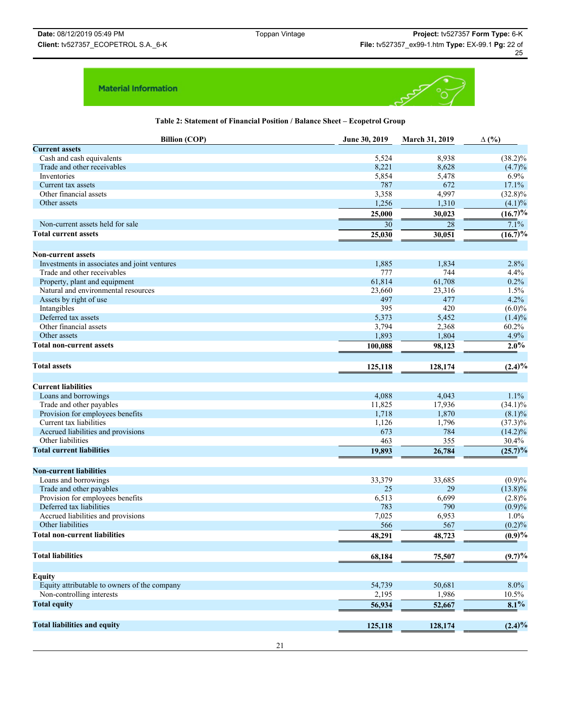

**Table 2: Statement of Financial Position / Balance Sheet – Ecopetrol Group**

| <b>Billion (COP)</b>                         | June 30, 2019 | March 31, 2019 | $\Delta$ (%) |
|----------------------------------------------|---------------|----------------|--------------|
| <b>Current assets</b>                        |               |                |              |
| Cash and cash equivalents                    | 5,524         | 8,938          | $(38.2)\%$   |
| Trade and other receivables                  | 8,221         | 8,628          | $(4.7)\%$    |
| Inventories                                  | 5,854         | 5,478          | 6.9%         |
| Current tax assets                           | 787           | 672            | 17.1%        |
| Other financial assets                       | 3,358         | 4,997          | $(32.8)\%$   |
| Other assets                                 | 1,256         | 1,310          | (4.1)%       |
|                                              | 25,000        | 30,023         | $(16.7)\%$   |
| Non-current assets held for sale             | 30            | 28             | 7.1%         |
| <b>Total current assets</b>                  | 25,030        | 30,051         | $(16.7)\%$   |
|                                              |               |                |              |
| <b>Non-current assets</b>                    |               |                |              |
| Investments in associates and joint ventures | 1,885         | 1,834          | 2.8%         |
| Trade and other receivables                  | 777           | 744            | 4.4%         |
| Property, plant and equipment                | 61,814        | 61,708         | 0.2%         |
| Natural and environmental resources          | 23,660        | 23,316         | 1.5%         |
| Assets by right of use                       | 497           | 477            | 4.2%         |
| Intangibles                                  | 395           | 420            | $(6.0)\%$    |
| Deferred tax assets                          | 5,373         | 5,452          | $(1.4)\%$    |
| Other financial assets                       | 3,794         | 2,368          | 60.2%        |
| Other assets                                 | 1,893         | 1,804          | 4.9%         |
| <b>Total non-current assets</b>              | 100,088       | 98,123         | $2.0\%$      |
|                                              |               |                |              |
| <b>Total assets</b>                          | 125,118       | 128,174        | $(2.4)\%$    |
|                                              |               |                |              |
| <b>Current liabilities</b>                   |               |                |              |
| Loans and borrowings                         | 4,088         | 4,043          | 1.1%         |
| Trade and other payables                     | 11,825        | 17,936         | $(34.1)\%$   |
| Provision for employees benefits             | 1,718         | 1,870          | $(8.1)\%$    |
| Current tax liabilities                      | 1,126         | 1,796          | $(37.3)\%$   |
| Accrued liabilities and provisions           | 673           | 784            | $(14.2)\%$   |
| Other liabilities                            | 463           | 355            | 30.4%        |
| <b>Total current liabilities</b>             | 19,893        | 26,784         | $(25.7)\%$   |
|                                              |               |                |              |
| <b>Non-current liabilities</b>               |               |                |              |
| Loans and borrowings                         | 33,379        | 33,685         | (0.9)%       |
| Trade and other payables                     | 25            | 29             | $(13.8)\%$   |
| Provision for employees benefits             | 6,513         | 6,699          | $(2.8)\%$    |
| Deferred tax liabilities                     | 783           | 790            | (0.9)%       |
| Accrued liabilities and provisions           | 7,025         | 6,953          | 1.0%         |
| Other liabilities                            | 566           | 567            | (0.2)%       |
| <b>Total non-current liabilities</b>         | 48,291        | 48,723         | $(0.9)\%$    |
|                                              |               |                |              |
| <b>Total liabilities</b>                     | 68,184        | 75,507         | $(9.7)\%$    |
|                                              |               |                |              |
| <b>Equity</b>                                |               |                |              |
| Equity attributable to owners of the company | 54,739        | 50,681         | 8.0%         |
| Non-controlling interests                    | 2,195         | 1,986          | 10.5%        |
| <b>Total equity</b>                          | 56,934        | 52,667         | 8.1%         |
|                                              |               |                |              |
| <b>Total liabilities and equity</b>          | 125,118       | 128,174        | $(2.4)\%$    |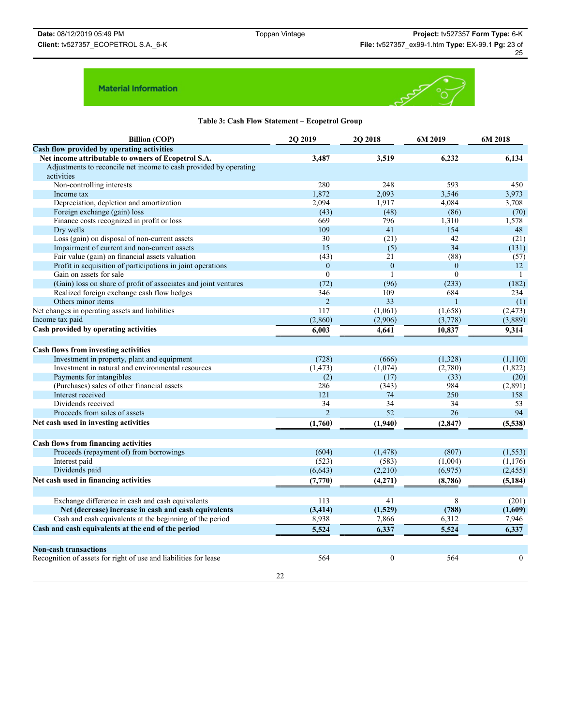

|  |  |  | Table 3: Cash Flow Statement – Ecopetrol Group |  |  |
|--|--|--|------------------------------------------------|--|--|
|--|--|--|------------------------------------------------|--|--|

| <b>Billion (COP)</b>                                              | 2Q 2019                  | 2Q 2018      | 6M 2019      | 6M 2018          |
|-------------------------------------------------------------------|--------------------------|--------------|--------------|------------------|
| Cash flow provided by operating activities                        |                          |              |              |                  |
| Net income attributable to owners of Ecopetrol S.A.               | 3,487                    | 3,519        | 6,232        | 6,134            |
| Adjustments to reconcile net income to cash provided by operating |                          |              |              |                  |
| activities                                                        |                          |              |              |                  |
| Non-controlling interests                                         | 280                      | 248          | 593          | 450              |
| Income tax                                                        | 1.872                    | 2,093        | 3,546        | 3,973            |
| Depreciation, depletion and amortization                          | 2.094                    | 1,917        | 4,084        | 3,708            |
| Foreign exchange (gain) loss                                      | (43)                     | (48)         | (86)         | (70)             |
| Finance costs recognized in profit or loss                        | 669                      | 796          | 1,310        | 1,578            |
| Dry wells                                                         | 109                      | 41           | 154          | 48               |
| Loss (gain) on disposal of non-current assets                     | 30                       | (21)         | 42           | (21)             |
| Impairment of current and non-current assets                      | 15                       | (5)          | 34           | (131)            |
| Fair value (gain) on financial assets valuation                   | (43)                     | 21           | (88)         | (57)             |
| Profit in acquisition of participations in joint operations       | $\theta$                 | $\mathbf{0}$ | $\mathbf{0}$ | 12               |
| Gain on assets for sale                                           | $\theta$                 | $\mathbf{1}$ | $\theta$     | -1               |
| (Gain) loss on share of profit of associates and joint ventures   | (72)                     | (96)         | (233)        | (182)            |
| Realized foreign exchange cash flow hedges                        | 346                      | 109          | 684          | 234              |
| Others minor items                                                | $\overline{2}$           | 33           | $\mathbf{1}$ | (1)              |
| Net changes in operating assets and liabilities                   | 117                      | (1,061)      | (1,658)      | (2, 473)         |
| Income tax paid                                                   | (2,860)                  | (2,906)      | (3,778)      | (3,889)          |
| Cash provided by operating activities                             | 6.003                    | 4.641        | 10.837       | 9,314            |
|                                                                   |                          |              |              |                  |
| <b>Cash flows from investing activities</b>                       |                          |              |              |                  |
| Investment in property, plant and equipment                       | (728)                    | (666)        | (1,328)      | (1,110)          |
| Investment in natural and environmental resources                 | (1, 473)                 | (1,074)      | (2,780)      | (1,822)          |
| Payments for intangibles                                          | (2)                      | (17)         | (33)         | (20)             |
| (Purchases) sales of other financial assets                       | 286                      | (343)        | 984          | (2,891)          |
| Interest received                                                 | 121                      | 74           | 250          | 158              |
| Dividends received                                                | 34                       | 34           | 34           | 53               |
| Proceeds from sales of assets                                     | $\overline{\mathcal{L}}$ | 52           | 26           | 94               |
| Net cash used in investing activities                             | (1,760)                  | (1,940)      | (2, 847)     | (5,538)          |
|                                                                   |                          |              |              |                  |
| <b>Cash flows from financing activities</b>                       |                          |              |              |                  |
| Proceeds (repayment of) from borrowings                           | (604)                    | (1, 478)     | (807)        | (1, 553)         |
| Interest paid                                                     | (523)                    | (583)        | (1,004)      | (1, 176)         |
| Dividends paid                                                    | (6, 643)                 | (2,210)      | (6,975)      | (2, 455)         |
| Net cash used in financing activities                             | (7,770)                  | (4,271)      | (8,786)      | (5, 184)         |
|                                                                   |                          |              |              |                  |
| Exchange difference in cash and cash equivalents                  | 113                      | 41           | 8            | (201)            |
| Net (decrease) increase in cash and cash equivalents              | (3, 414)                 | (1,529)      | (788)        | (1,609)          |
| Cash and cash equivalents at the beginning of the period          | 8,938                    | 7,866        | 6,312        | 7,946            |
| Cash and cash equivalents at the end of the period                | 5,524                    | 6,337        | 5,524        | 6,337            |
|                                                                   |                          |              |              |                  |
| <b>Non-cash transactions</b>                                      |                          |              |              |                  |
| Recognition of assets for right of use and liabilities for lease  | 564                      | $\mathbf{0}$ | 564          | $\boldsymbol{0}$ |
|                                                                   |                          |              |              |                  |
|                                                                   | 22                       |              |              |                  |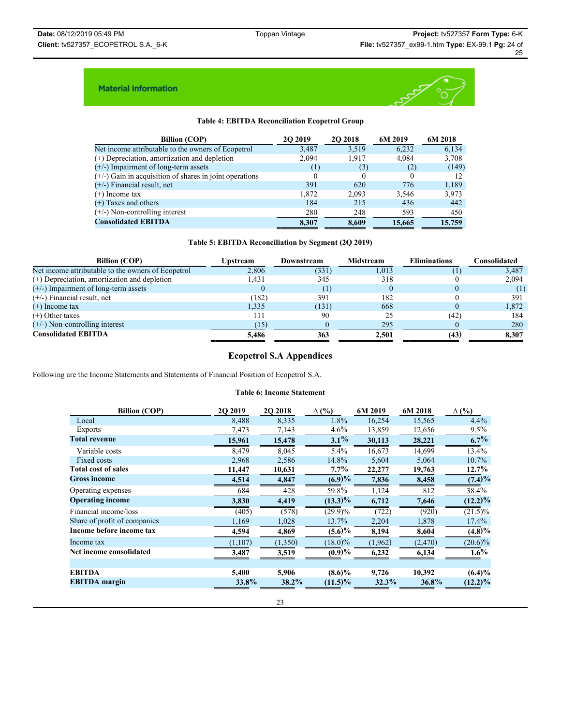

# **Table 4: EBITDA Reconciliation Ecopetrol Group**

| <b>Billion (COP)</b>                                      | 20 20 19 | <b>202018</b> | 6M 2019 | 6M 2018 |
|-----------------------------------------------------------|----------|---------------|---------|---------|
| Net income attributable to the owners of Ecopetrol        | 3,487    | 3,519         | 6,232   | 6,134   |
| $(+)$ Depreciation, amortization and depletion            | 2,094    | 1,917         | 4,084   | 3,708   |
| $(+/-)$ Impairment of long-term assets                    | (1)      | (3)           | (2)     | (149)   |
| $(+/-)$ Gain in acquisition of shares in joint operations | $_{0}$   | $\Omega$      | 0       | 12      |
| $(+/-)$ Financial result, net                             | 391      | 620           | 776     | 1,189   |
| $(+)$ Income tax                                          | 1,872    | 2.093         | 3,546   | 3,973   |
| $(+)$ Taxes and others                                    | 184      | 215           | 436     | 442     |
| $(+/-)$ Non-controlling interest                          | 280      | 248           | 593     | 450     |
| <b>Consolidated EBITDA</b>                                | 8.307    | 8.609         | 15,665  | 15,759  |

### **Table 5: EBITDA Reconciliation by Segment (2Q 2019)**

| <b>Billion (COP)</b>                               | <b>Upstream</b> | Downstream       | Midstream | <b>Eliminations</b> | Consolidated |
|----------------------------------------------------|-----------------|------------------|-----------|---------------------|--------------|
| Net income attributable to the owners of Ecopetrol | 2,806           | (331)            | 1,013     |                     | 3,487        |
| $(+)$ Depreciation, amortization and depletion     | l.431           | 345              | 318       |                     | 2,094        |
| $(+/-)$ Impairment of long-term assets             |                 | $\left(1\right)$ |           |                     |              |
| $(+/-)$ Financial result, net                      | (182)           | 391              | 182       |                     | 391          |
| $(+)$ Income tax                                   | 1.335           | (131)            | 668       |                     | 1,872        |
| $(+)$ Other taxes                                  | 111             | 90               | 25        | (42)                | 184          |
| $(+/-)$ Non-controlling interest                   | (15)            |                  | 295       |                     | 280          |
| <b>Consolidated EBITDA</b>                         | 5.486           | 363              | 2.501     | (43)                | 8,307        |

# **Ecopetrol S.A Appendices**

Following are the Income Statements and Statements of Financial Position of Ecopetrol S.A.

### **Table 6: Income Statement**

| <b>Billion (COP)</b>         | 2Q 2019 | 2Q 2018  | $\Delta$ (%) | 6M 2019 | 6M 2018  | $\Delta$ (%) |
|------------------------------|---------|----------|--------------|---------|----------|--------------|
| Local                        | 8,488   | 8,335    | 1.8%         | 16,254  | 15,565   | 4.4%         |
| <b>Exports</b>               | 7,473   | 7,143    | $4.6\%$      | 13,859  | 12,656   | $9.5\%$      |
| <b>Total revenue</b>         | 15,961  | 15,478   | $3.1\%$      | 30,113  | 28,221   | $6.7\%$      |
| Variable costs               | 8,479   | 8,045    | $5.4\%$      | 16,673  | 14,699   | 13.4%        |
| Fixed costs                  | 2,968   | 2,586    | 14.8%        | 5,604   | 5,064    | 10.7%        |
| <b>Total cost of sales</b>   | 11,447  | 10,631   | $7.7\%$      | 22,277  | 19,763   | $12.7\%$     |
| <b>Gross income</b>          | 4,514   | 4,847    | $(6.9)\%$    | 7,836   | 8,458    | $(7.4)\%$    |
| Operating expenses           | 684     | 428      | 59.8%        | 1,124   | 812      | 38.4%        |
| <b>Operating income</b>      | 3,830   | 4,419    | $(13.3)\%$   | 6,712   | 7,646    | $(12.2)\%$   |
| Financial income/loss        | (405)   | (578)    | $(29.9)\%$   | (722)   | (920)    | $(21.5)\%$   |
| Share of profit of companies | 1,169   | 1,028    | 13.7%        | 2,204   | 1,878    | $17.4\%$     |
| Income before income tax     | 4,594   | 4,869    | $(5.6)\%$    | 8,194   | 8,604    | $(4.8)\%$    |
| Income tax                   | (1,107) | (1, 350) | $(18.0)\%$   | (1,962) | (2, 470) | $(20.6)\%$   |
| Net income consolidated      | 3,487   | 3,519    | $(0.9)\%$    | 6,232   | 6,134    | $1.6\%$      |
|                              |         |          |              |         |          |              |
| <b>EBITDA</b>                | 5,400   | 5,906    | $(8.6)\%$    | 9,726   | 10,392   | $(6.4)\%$    |
| <b>EBITDA</b> margin         | 33.8%   | 38.2%    | $(11.5)\%$   | 32.3%   | 36.8%    | $(12.2)\%$   |